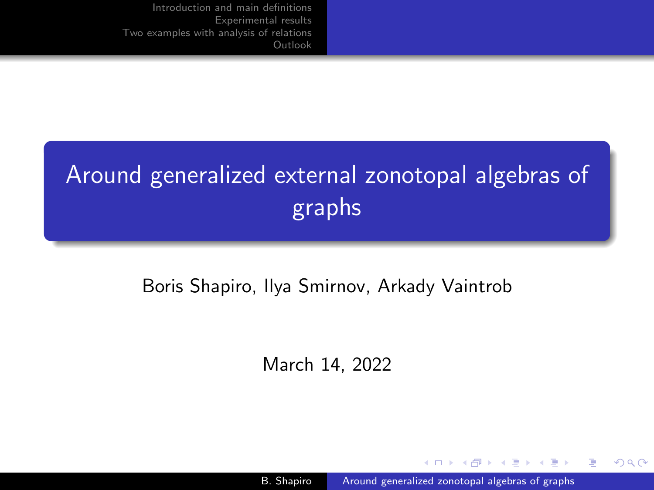# <span id="page-0-0"></span>Around generalized external zonotopal algebras of graphs

# Boris Shapiro, Ilya Smirnov, Arkady Vaintrob

March 14, 2022

B. Shapiro **[Around generalized zonotopal algebras of graphs](#page-56-0)** 

4 17 18

计单位计串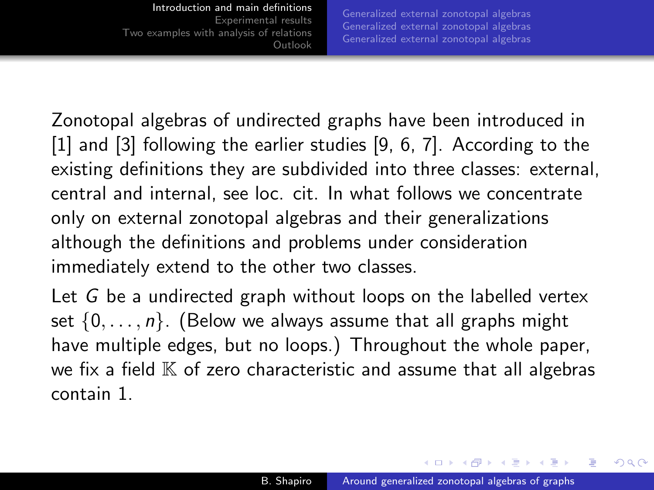[Generalized external zonotopal algebras](#page-9-0) [Generalized external zonotopal algebras](#page-17-0) [Generalized external zonotopal algebras](#page-20-0)

<span id="page-1-0"></span>Zonotopal algebras of undirected graphs have been introduced in [\[1\]](#page-55-0) and [\[3\]](#page-55-1) following the earlier studies [\[9,](#page-56-1) [6,](#page-55-2) [7\]](#page-56-2). According to the existing definitions they are subdivided into three classes: external, central and internal, see loc. cit. In what follows we concentrate only on external zonotopal algebras and their generalizations although the definitions and problems under consideration immediately extend to the other two classes.

Let G be a undirected graph without loops on the labelled vertex set  $\{0, \ldots, n\}$ . (Below we always assume that all graphs might have multiple edges, but no loops.) Throughout the whole paper, we fix a field  $K$  of zero characteristic and assume that all algebras contain 1.

∢ロ ▶ ∢何 ▶ ∢ ヨ ▶ ∢ ヨ ▶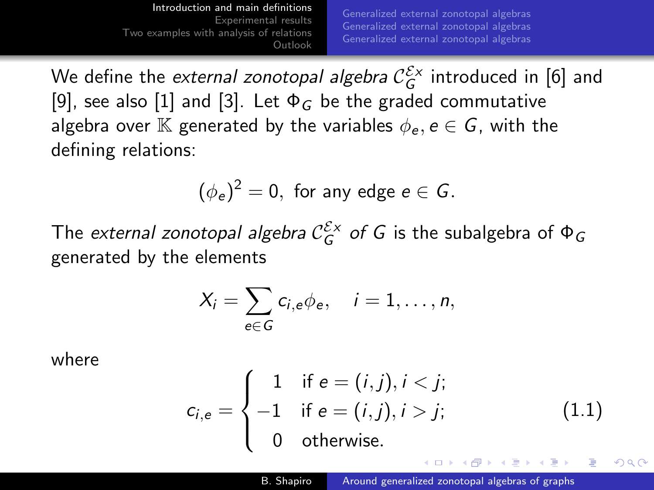We define the *external zonotopal algebra*  $\mathcal{C}_G^{\mathcal{E}_X}$  introduced in [\[6\]](#page-55-2) and [\[9\]](#page-56-1), see also [\[1\]](#page-55-0) and [\[3\]](#page-55-1). Let  $\Phi_G$  be the graded commutative algebra over K generated by the variables  $\phi_e, e \in G$ , with the defining relations:

$$
(\phi_e)^2=0, \text{ for any edge } e\in G.
$$

The *external zonotopal algebra*  $\mathcal{C}_G^{\mathcal{E} \times}$  *of G is the subalgebra of*  $\Phi_G$ generated by the elements

$$
X_i=\sum_{e\in G}c_{i,e}\phi_e,\quad i=1,\ldots,n,
$$

where

$$
c_{i,e} = \begin{cases} 1 & \text{if } e = (i,j), i < j; \\ -1 & \text{if } e = (i,j), i > j; \\ 0 & \text{otherwise.} \end{cases}
$$
 (1.1)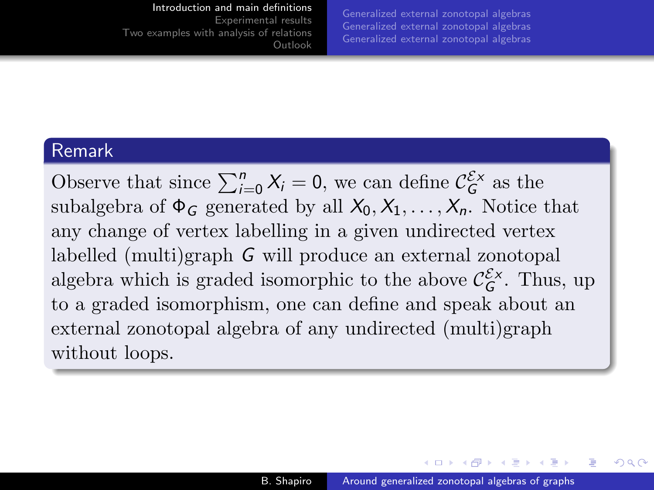#### [Introduction and main definitions](#page-1-0)

[Experimental results](#page-29-0) [Two examples with analysis of relations](#page-50-0) [Outlook](#page-52-0)

[Generalized external zonotopal algebras](#page-9-0) [Generalized external zonotopal algebras](#page-17-0) [Generalized external zonotopal algebras](#page-20-0)

### Remark

Observe that since  $\sum_{i=0}^{n} X_i = 0$ , we can define  $\mathcal{C}_G^{\mathcal{E} \times}$  as the subalgebra of  $\Phi_G$  generated by all  $X_0, X_1, \ldots, X_n$ . Notice that any change of vertex labelling in a given undirected vertex labelled (multi)graph G will produce an external zonotopal algebra which is graded isomorphic to the above  $\mathcal{C}_G^{\mathcal{E}_X}$ . Thus, up to a graded isomorphism, one can define and speak about an external zonotopal algebra of any undirected (multi)graph without loops.

イロ トラ 河 トラ ミュートラン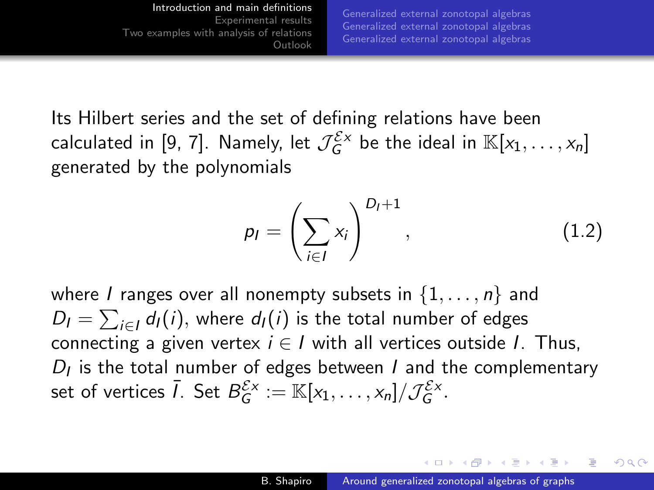[Introduction and main definitions](#page-1-0) [Experimental results](#page-29-0) [Two examples with analysis of relations](#page-50-0) [Outlook](#page-52-0) [Generalized external zonotopal algebras](#page-9-0) [Generalized external zonotopal algebras](#page-17-0) [Generalized external zonotopal algebras](#page-20-0)

Its Hilbert series and the set of defining relations have been calculated in [\[9,](#page-56-1) [7\]](#page-56-2). Namely, let  $\mathcal{J}_G^{\mathcal{E} \times}$  be the ideal in  $\mathbb{K}[x_1,\ldots,x_n]$ generated by the polynomials

$$
p_I = \left(\sum_{i \in I} x_i\right)^{D_I + 1},\tag{1.2}
$$

where *I* ranges over all nonempty subsets in  $\{1, \ldots, n\}$  and  $D_l = \sum_{i \in l} d_l(i)$ , where  $d_l(i)$  is the total number of edges connecting a given vertex  $i \in I$  with all vertices outside I. Thus,  $D_I$  is the total number of edges between  $I$  and the complementary set of vertices  $\bar{l}$ . Set  $B_{G}^{\mathcal{E} \times} := \mathbb{K}[x_1,\ldots,x_n]/\mathcal{J}_{G}^{\mathcal{E} \times}.$ 

イロメ マタメ マモメマモメ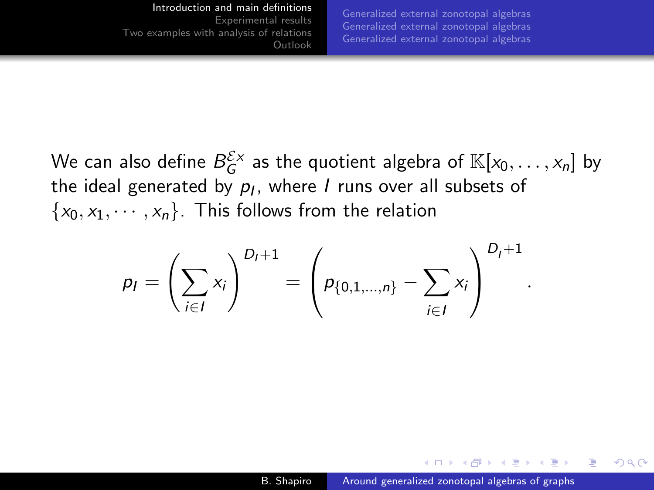[Generalized external zonotopal algebras](#page-9-0) [Generalized external zonotopal algebras](#page-17-0) [Generalized external zonotopal algebras](#page-20-0)

.

∢ 何 ▶ ( ヨ ▶ ( ヨ ▶

つくへ

We can also define  $\mathcal{B}^{\mathcal{E} \times}_{G}$  as the quotient algebra of  $\mathbb{K}[x_{0},\dots,x_{n}]$  by the ideal generated by  $\rho_I$ , where  $I$  runs over all subsets of  $\{x_0, x_1, \dots, x_n\}$ . This follows from the relation

$$
p_I = \left(\sum_{i \in I} x_i\right)^{D_I + 1} = \left(p_{\{0, 1, ..., n\}} - \sum_{i \in \overline{I}} x_i\right)^{D_{\overline{I}} + 1}
$$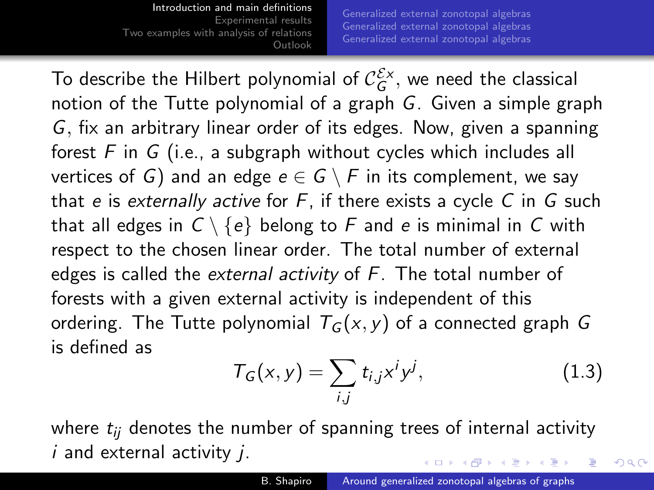[Generalized external zonotopal algebras](#page-9-0) [Generalized external zonotopal algebras](#page-17-0) [Generalized external zonotopal algebras](#page-20-0)

To describe the Hilbert polynomial of  $\mathcal{C}_G^{\mathcal{E}{\mathsf{x}}},$  we need the classical notion of the Tutte polynomial of a graph G. Given a simple graph G, fix an arbitrary linear order of its edges. Now, given a spanning forest  $F$  in  $G$  (i.e., a subgraph without cycles which includes all vertices of G) and an edge  $e \in G \setminus F$  in its complement, we say that e is externally active for  $F$ , if there exists a cycle C in  $G$  such that all edges in  $C \setminus \{e\}$  belong to F and e is minimal in C with respect to the chosen linear order. The total number of external edges is called the *external activity* of  $F$ . The total number of forests with a given external activity is independent of this ordering. The Tutte polynomial  $T_G(x, y)$  of a connected graph G is defined as

$$
T_G(x,y) = \sum_{i,j} t_{i,j} x^i y^j, \qquad (1.3)
$$

where  $t_{ii}$  denotes the number of spanning trees of internal activity i and external activity *i*.  $\ldots$  . . . . . . . . . .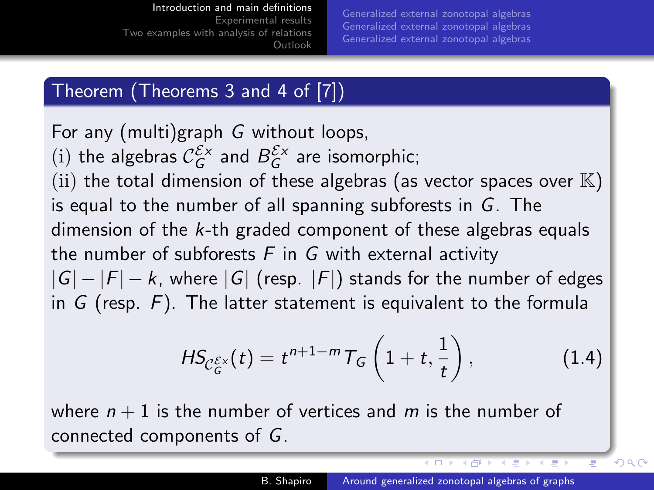### [Introduction and main definitions](#page-1-0)

[Experimental results](#page-29-0) [Two examples with analysis of relations](#page-50-0) [Outlook](#page-52-0)

[Generalized external zonotopal algebras](#page-9-0) [Generalized external zonotopal algebras](#page-17-0) [Generalized external zonotopal algebras](#page-20-0)

# Theorem (Theorems 3 and 4 of [\[7\]](#page-56-2))

<span id="page-7-0"></span>For any (multi)graph G without loops, (i) the algebras  $C_G^{\mathcal{E} \times}$  and  $B_G^{\mathcal{E} \times}$  are isomorphic; (ii) the total dimension of these algebras (as vector spaces over  $\mathbb{K}$ ) is equal to the number of all spanning subforests in G. The dimension of the  $k$ -th graded component of these algebras equals the number of subforests  $F$  in  $G$  with external activity  $|G| - |F| - k$ , where  $|G|$  (resp.  $|F|$ ) stands for the number of edges in  $G$  (resp.  $F$ ). The latter statement is equivalent to the formula

$$
HS_{\mathcal{C}_G^{\mathcal{E} \times}}(t) = t^{n+1-m} T_G\left(1+t,\frac{1}{t}\right), \qquad (1.4)
$$

where  $n + 1$  is the number of vertices and m is the number of connected components of G.

←□

4 向 8 4

 $QQ$ 

 $-4.50$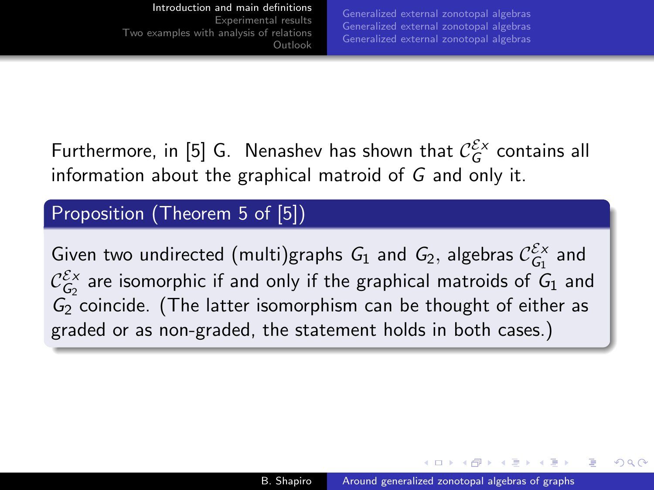[Generalized external zonotopal algebras](#page-9-0) [Generalized external zonotopal algebras](#page-17-0) [Generalized external zonotopal algebras](#page-20-0)

<span id="page-8-0"></span>Furthermore, in [\[5\]](#page-55-3) G. Nenashev has shown that  $\mathcal{C}_G^{\mathcal{E} \times}$  contains all information about the graphical matroid of G and only it.

# Proposition (Theorem 5 of [\[5\]](#page-55-3))

Given two undirected (multi)graphs  $G_1$  and  $G_2$ , algebras  $\mathcal{C}_{G_1}^{\mathcal{E}_X}$  and  $\mathcal{C}_{\mathcal{G}_2}^{\mathcal{E}\times}$  are isomorphic if and only if the graphical matroids of  $\mathcal{G}_1$  and  $G_2$  coincide. (The latter isomorphism can be thought of either as graded or as non-graded, the statement holds in both cases.)

 $\mathcal{A}$  and  $\mathcal{A}$  . The set of  $\mathcal{B}$  is a set of  $\mathcal{B}$  is a set of  $\mathcal{B}$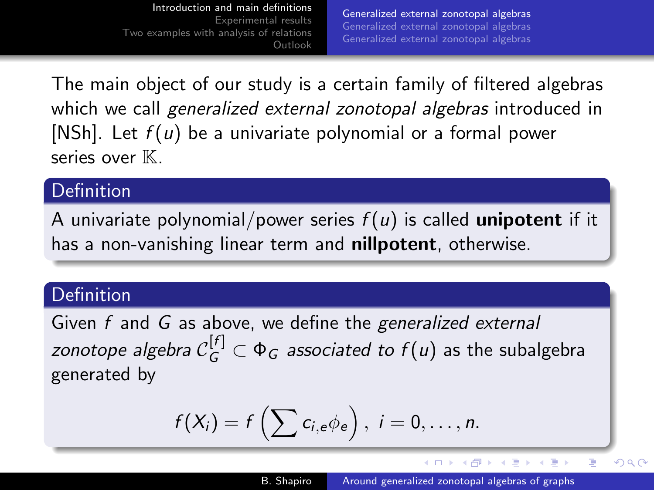<span id="page-9-0"></span>The main object of our study is a certain family of filtered algebras which we call generalized external zonotopal algebras introduced in [\[NSh\]](#page-55-4). Let  $f(u)$  be a univariate polynomial or a formal power series over K.

### Definition

A univariate polynomial/power series  $f(u)$  is called unipotent if it has a non-vanishing linear term and **nillpotent**, otherwise.

# Definition

Given f and G as above, we define the generalized external zonotope algebra  $\mathcal{C}_G^{[f]} \subset \Phi_G$  associated to  $f(u)$  as the subalgebra generated by

$$
f(X_i) = f\left(\sum c_{i,e} \phi_e\right), i = 0,\ldots,n.
$$

**≮ロト ⊀何ト ⊀ ヨト ⊀ ヨト** 

 $QQ$ 

∍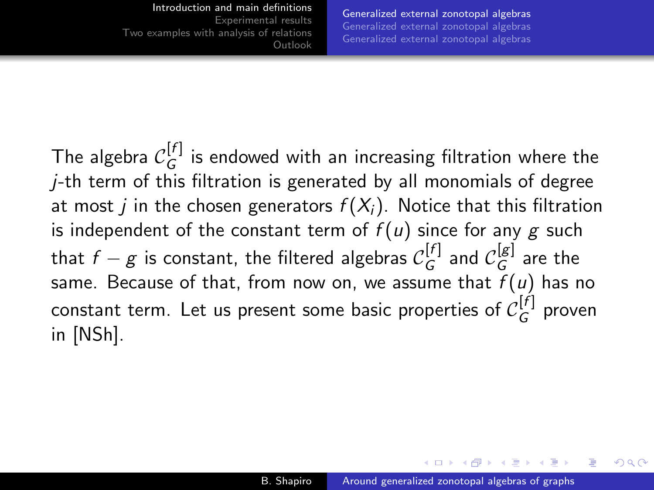[Generalized external zonotopal algebras](#page-9-0) [Generalized external zonotopal algebras](#page-17-0) [Generalized external zonotopal algebras](#page-20-0)

The algebra  $\mathcal{C}_G^{[f]}$  $G^{[V]}_G$  is endowed with an increasing filtration where the  $j$ -th term of this filtration is generated by all monomials of degree at most *i* in the chosen generators  $f(X_i)$ . Notice that this filtration is independent of the constant term of  $f(u)$  since for any g such that  $f-g$  is constant, the filtered algebras  $\mathcal{C}_G^{[f]}$  $\mathcal{C}_G^{[f]}$  and  $\mathcal{C}_G^{[g]}$  $\mathcal{G}^{\text{[B]}}$  are the same. Because of that, from now on, we assume that  $f(u)$  has no constant term. Let us present some basic properties of  $\mathcal{C}_G^{[f]}$  $G^{\{U\}}$  proven in [\[NSh\]](#page-55-4).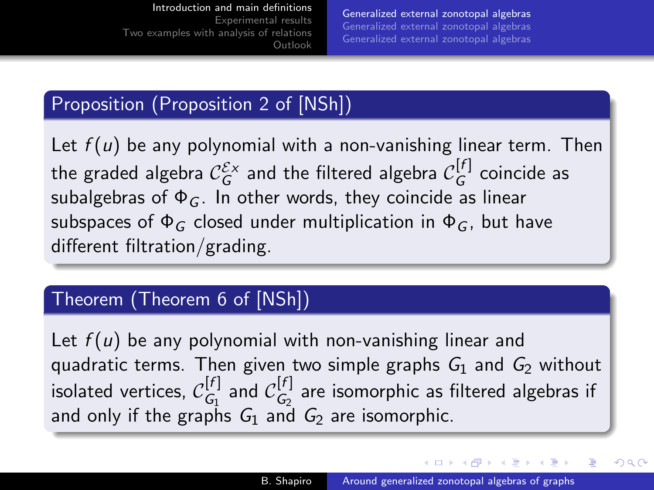[Generalized external zonotopal algebras](#page-9-0) [Generalized external zonotopal algebras](#page-17-0) [Generalized external zonotopal algebras](#page-20-0)

# Proposition (Proposition 2 of [\[NSh\]](#page-55-4))

Let  $f(u)$  be any polynomial with a non-vanishing linear term. Then the graded algebra  $\mathcal{C}_G^{\mathcal{E}_X}$  and the filtered algebra  $\mathcal{C}_G^{[f]}$  $G^{\text{U1}}$  coincide as subalgebras of  $\Phi_G$ . In other words, they coincide as linear subspaces of  $\Phi_G$  closed under multiplication in  $\Phi_G$ , but have different filtration/grading.

# Theorem (Theorem 6 of [\[NSh\]](#page-55-4))

Let  $f(u)$  be any polynomial with non-vanishing linear and quadratic terms. Then given two simple graphs  $G_1$  and  $G_2$  without isolated vertices,  $\mathcal{C}_G^{[f]}$  $\begin{bmatrix} [f] & \text{and} & C_{G_2}^{[f]} \end{bmatrix}$  $\binom{[t]}{G_2}$  are isomorphic as filtered algebras if and only if the graphs  $G_1$  and  $G_2$  are isomorphic.

イロメ イ押メ イヨメ イヨメ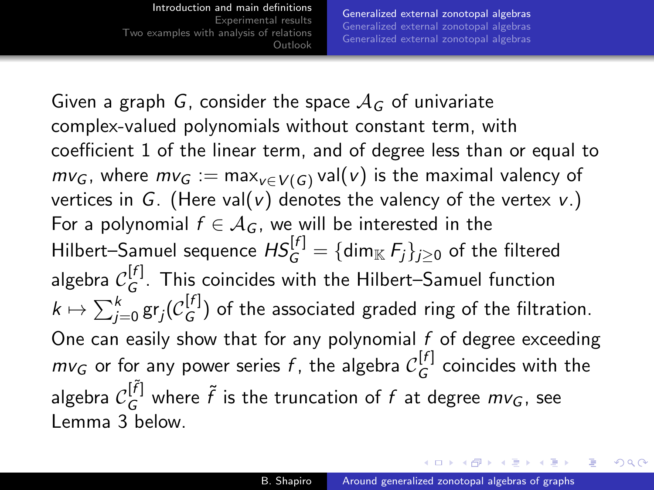[Introduction and main definitions](#page-1-0) [Experimental results](#page-29-0) [Two examples with analysis of relations](#page-50-0) [Outlook](#page-52-0) [Generalized external zonotopal algebras](#page-9-0) [Generalized external zonotopal algebras](#page-17-0) [Generalized external zonotopal algebras](#page-20-0)

Given a graph G, consider the space  $A_G$  of univariate complex-valued polynomials without constant term, with coefficient 1 of the linear term, and of degree less than or equal to  $mv_G$ , where  $mv_G := \max_{v \in V(G)} val(v)$  is the maximal valency of vertices in G. (Here val(v) denotes the valency of the vertex v.) For a polynomial  $f \in \mathcal{A}_G$ , we will be interested in the Hilbert–Samuel sequence  $\mathit{HS}_G^{[f]} = \{\mathsf{dim}_{\mathbb{K}}\, F_j\}_{j\geq 0}$  of the filtered algebra  $\mathcal{C}_G^{[f]}$  $G^{U_1}$ . This coincides with the Hilbert–Samuel function  $k\mapsto \sum_{j=0}^k \operatorname{\sf gr}_j({\mathcal C}_G^{[f]}$  $G^{(1)}$ ) of the associated graded ring of the filtration. One can easily show that for any polynomial  $f$  of degree exceeding  $m v_G$  or for any power series  $f$ , the algebra  $\mathcal{C}_G^{[f]}$  $G^{[1]}$  coincides with the algebra  $\mathcal{C}_G^{[\tilde{f}]}$  where  $\tilde{f}$  is the truncation of  $f$  at degree  $m v_G$ , see Lemma [3](#page-14-0) below.

**≮ロト (何) (日) (日)**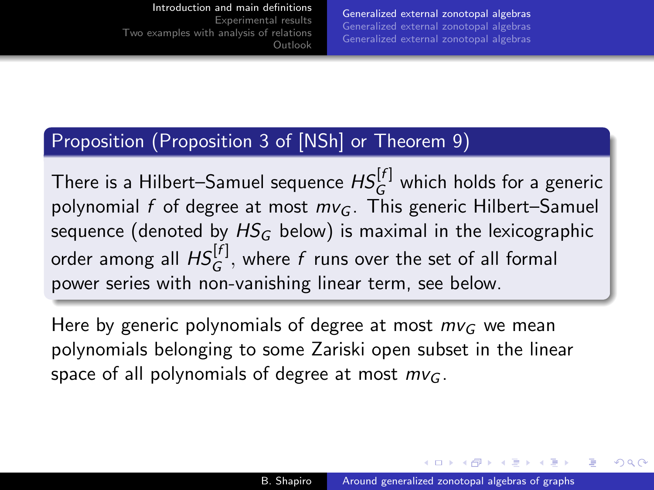### [Introduction and main definitions](#page-1-0)

[Experimental results](#page-29-0) [Two examples with analysis of relations](#page-50-0) [Outlook](#page-52-0)

[Generalized external zonotopal algebras](#page-9-0) [Generalized external zonotopal algebras](#page-17-0) [Generalized external zonotopal algebras](#page-20-0)

# Proposition (Proposition 3 of [\[NSh\]](#page-55-4) or Theorem [9\)](#page-22-0)

There is a Hilbert–Samuel sequence  $\mathit{HS}^{[f]}_G$  which holds for a generic polynomial f of degree at most  $mv<sub>G</sub>$ . This generic Hilbert–Samuel sequence (denoted by  $HS_G$  below) is maximal in the lexicographic order among all  $\mathit{HS}^{[f]}_G,$  where  $f$  runs over the set of all formal power series with non-vanishing linear term, see below.

Here by generic polynomials of degree at most  $m_{\mathcal{G}}$  we mean polynomials belonging to some Zariski open subset in the linear space of all polynomials of degree at most  $mv<sub>G</sub>$ .

イロ トラ 河 トラ ミュートラン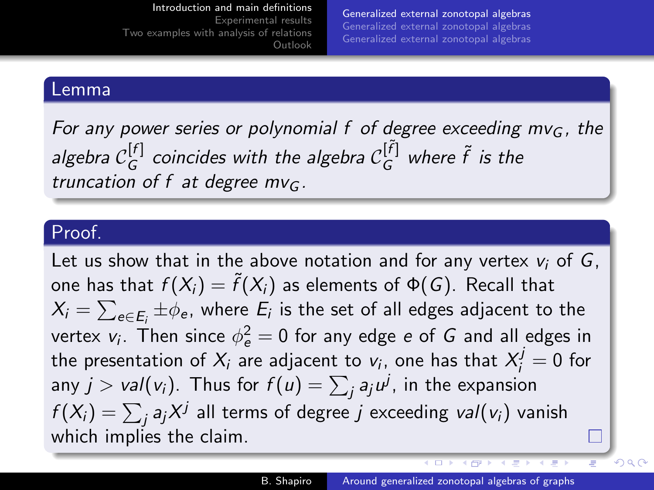[Generalized external zonotopal algebras](#page-9-0) [Generalized external zonotopal algebras](#page-17-0) [Generalized external zonotopal algebras](#page-20-0)

### Lemma

<span id="page-14-0"></span>For any power series or polynomial f of degree exceeding  $mv<sub>G</sub>$ , the algebra  $\mathcal{C}_G^{[f]}$  $_G^{[f]}$  coincides with the algebra  $\mathcal{C}_G^{[\tilde{f}]}$  where  $\tilde{f}$  is the truncation of f at degree  $mv<sub>G</sub>$ .

[Outlook](#page-52-0)

### Proof.

Let us show that in the above notation and for any vertex  $v_i$  of G, one has that  $f(X_i) = \tilde{f}(X_i)$  as elements of  $\Phi(G)$ . Recall that  $X_i = \sum_{e \in E_i} \pm \phi_e$ , where  $E_i$  is the set of all edges adjacent to the vertex  $v_i$ . Then since  $\phi_{\bm{e}}^2=0$  for any edge  $\bm{e}$  of  $\bm{G}$  and all edges in the presentation of  $X_i$  are adjacent to  $v_i$ , one has that  $X_i^j=0$  for any  $j > \mathit{val}(v_i)$ . Thus for  $f(u) = \sum_j a_j u^j$ , in the expansion  $f(X_i) = \sum_j a_j X^j$  all terms of degree  $j$  exceeding  $\mathit{val}(v_i)$  vanish which implies the claim.

 $\overline{1}$ 

**K 同 ト イ ヨ ト** 

 $QQ$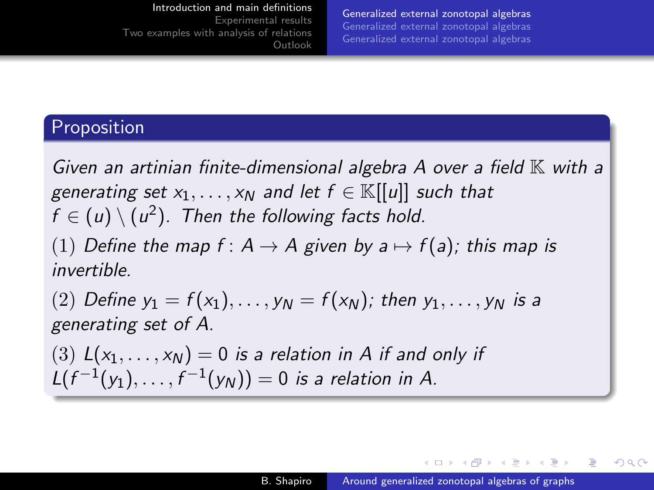### [Introduction and main definitions](#page-1-0)

<span id="page-15-0"></span>[Experimental results](#page-29-0) [Two examples with analysis of relations](#page-50-0) [Outlook](#page-52-0)

[Generalized external zonotopal algebras](#page-9-0) [Generalized external zonotopal algebras](#page-17-0) [Generalized external zonotopal algebras](#page-20-0)

# Proposition

Given an artinian finite-dimensional algebra  $A$  over a field  $K$  with a generating set  $x_1, \ldots, x_N$  and let  $f \in \mathbb{K}[[u]]$  such that  $f \in (u) \setminus (u^2)$ . Then the following facts hold.

(1) Define the map  $f: A \rightarrow A$  given by  $a \mapsto f(a)$ ; this map is invertible.

(2) Define  $y_1 = f(x_1), \ldots, y_N = f(x_N)$ ; then  $y_1, \ldots, y_N$  is a generating set of A.

(3)  $L(x_1, \ldots, x_N) = 0$  is a relation in A if and only if  $L(f^{-1}(y_1), \ldots, f^{-1}(y_N)) = 0$  is a relation in A.

∢ロ ▶ ∢母 ▶ ∢ ヨ ▶ ∢ ヨ ▶ ↓

э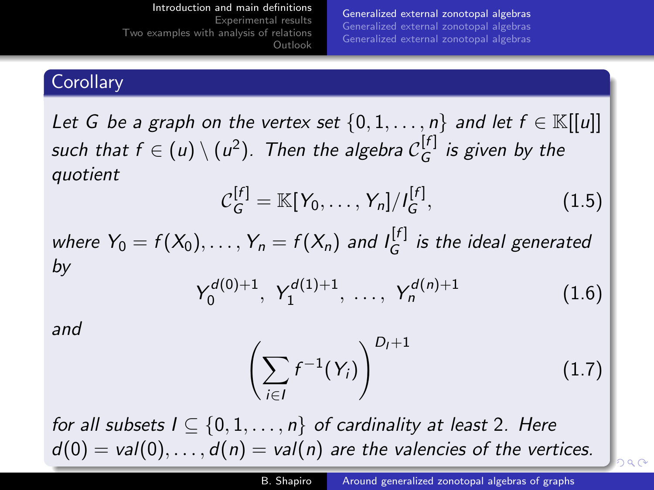[Generalized external zonotopal algebras](#page-9-0) [Generalized external zonotopal algebras](#page-17-0) [Generalized external zonotopal algebras](#page-20-0)

# <span id="page-16-0"></span>**Corollary**

Let G be a graph on the vertex set  $\{0, 1, ..., n\}$  and let  $f \in \mathbb{K}[[u]]$ such that  $f\in(u)\setminus(u^2).$  Then the algebra  $\mathcal{C}_G^{[f]}$  $G^{\{1\}}$  is given by the quotient

$$
C_G^{[f]} = \mathbb{K}[Y_0, \dots, Y_n]/I_G^{[f]}, \qquad (1.5)
$$

where  $Y_0 = f(X_0), \ldots, Y_n = f(X_n)$  and  $I_G^{[f]}$  $\int_G^{U^1}$  is the ideal generated by

$$
Y_0^{d(0)+1}, Y_1^{d(1)+1}, \ldots, Y_n^{d(n)+1}
$$
 (1.6)

and

<span id="page-16-1"></span>
$$
\left(\sum_{i\in I} f^{-1}(Y_i)\right)^{D_I+1} \tag{1.7}
$$

for all subsets  $I \subseteq \{0, 1, \ldots, n\}$  of cardinality at least 2. Here  $d(0) = val(0), \ldots, d(n) = val(n)$  $d(0) = val(0), \ldots, d(n) = val(n)$  $d(0) = val(0), \ldots, d(n) = val(n)$  $d(0) = val(0), \ldots, d(n) = val(n)$  $d(0) = val(0), \ldots, d(n) = val(n)$  are the val[en](#page-15-0)[cie](#page-17-0)s [of](#page-16-0) [th](#page-8-0)[e v](#page-56-0)[er](#page-0-0)[tic](#page-56-0)[es.](#page-0-0)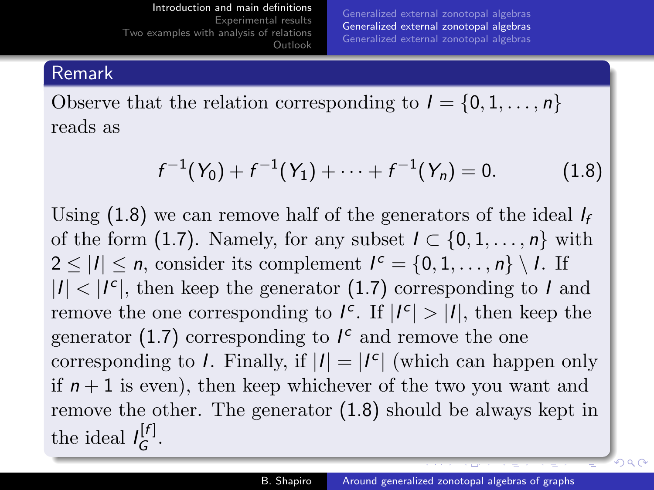[Generalized external zonotopal algebras](#page-9-0) [Generalized external zonotopal algebras](#page-17-0) [Generalized external zonotopal algebras](#page-20-0)

### <span id="page-17-0"></span>Remark

Observe that the relation corresponding to  $I = \{0, 1, \ldots, n\}$ reads as

$$
f^{-1}(Y_0) + f^{-1}(Y_1) + \cdots + f^{-1}(Y_n) = 0.
$$
 (1.8)

Using  $(1.8)$  we can remove half of the generators of the ideal  $I_f$ of the form [\(1.7\)](#page-16-1). Namely, for any subset  $I \subset \{0, 1, \ldots, n\}$  with  $2 \leq |I| \leq n$ , consider its complement  $I^c = \{0, 1, \ldots, n\} \setminus I$ . If  $|I|$  <  $|I<sup>c</sup>|$ , then keep the generator [\(1.7\)](#page-16-1) corresponding to I and remove the one corresponding to  $I^c$ . If  $|I^c| > |I|$ , then keep the generator [\(1.7\)](#page-16-1) corresponding to  $I^c$  and remove the one corresponding to *I*. Finally, if  $|I| = |I^c|$  (which can happen only if  $n + 1$  is even), then keep whichever of the two you want and remove the other. The generator [\(1.8\)](#page-18-0) should be always kept in the ideal  $I_G^{[f]}$ יין.<br>G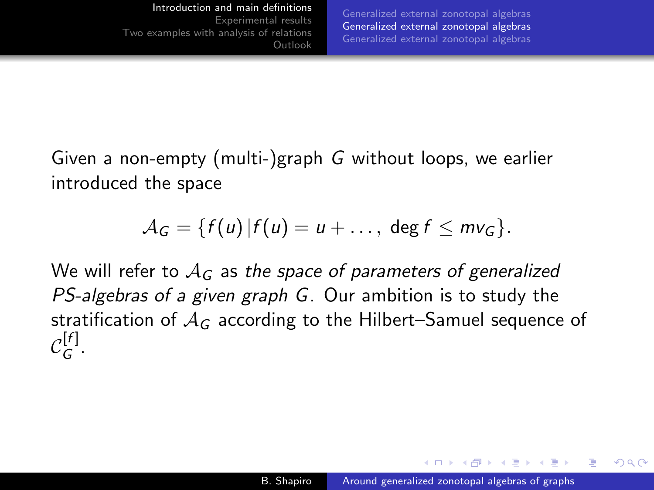<span id="page-18-0"></span>Given a non-empty (multi-)graph G without loops, we earlier introduced the space

$$
\mathcal{A}_G = \{f(u) | f(u) = u + \ldots, \deg f \leq m \vee_G\}.
$$

We will refer to  $A_G$  as the space of parameters of generalized PS-algebras of a given graph G. Our ambition is to study the stratification of  $A_G$  according to the Hilbert–Samuel sequence of  $\mathcal{C}_G^{[f]}$ יין.<br>G

 $\mathcal{A}$  and  $\mathcal{A}$  . The set of  $\mathcal{B}$  is a set of  $\mathcal{B}$  is a set of  $\mathcal{B}$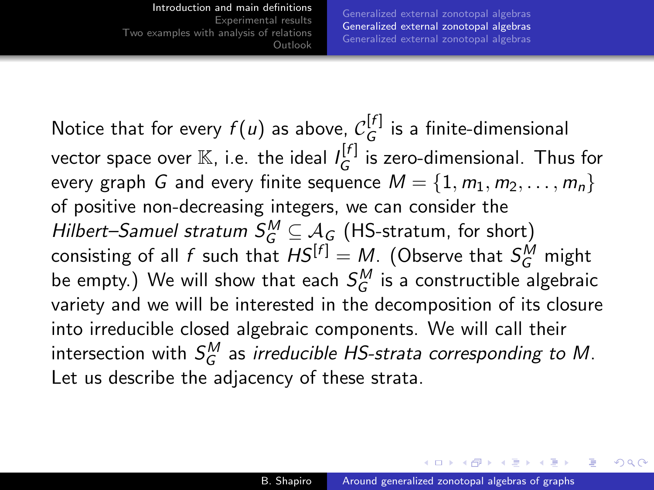[Generalized external zonotopal algebras](#page-9-0) [Generalized external zonotopal algebras](#page-17-0) [Generalized external zonotopal algebras](#page-20-0)

Notice that for every  $f(u)$  as above,  $\mathcal{C}_G^{[f]}$  $G^{[1]}$  is a finite-dimensional vector space over  $\mathbb K$ , i.e. the ideal  $\iota^{[f]}_G$  $G^{[1]}$  is zero-dimensional. Thus for every graph G and every finite sequence  $M = \{1, m_1, m_2, \ldots, m_n\}$ of positive non-decreasing integers, we can consider the Hilbert–Samuel stratum  $S_G^M \subseteq A_G$  (HS-stratum, for short) consisting of all  $f$  such that  $\mathcal{H} S^{[f]} = M$ . (Observe that  $\mathcal{S}_G^M$  might be empty.) We will show that each  $\mathcal{S}_{G}^{M}$  is a constructible algebraic variety and we will be interested in the decomposition of its closure into irreducible closed algebraic components. We will call their intersection with  $\mathcal{S}_{G}^{M}$  as *irreducible HS-strata corresponding to M*. Let us describe the adjacency of these strata.

 $\ldots$  . . . . . . . . . .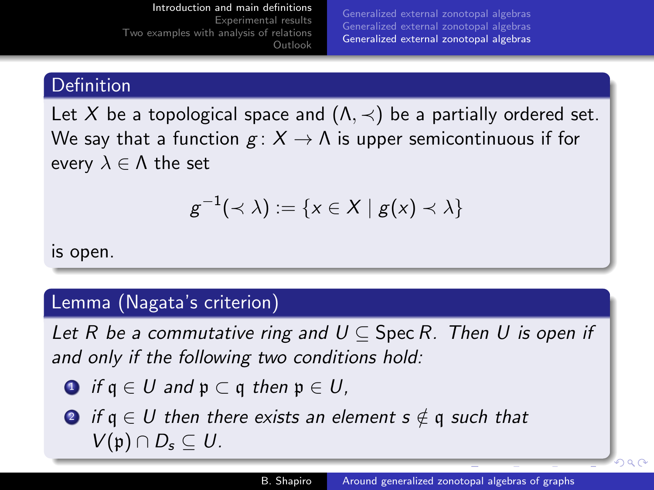[Generalized external zonotopal algebras](#page-9-0) [Generalized external zonotopal algebras](#page-17-0) [Generalized external zonotopal algebras](#page-20-0)

### <span id="page-20-0"></span>Definition

Let X be a topological space and  $(\Lambda, \prec)$  be a partially ordered set. We say that a function  $g: X \to \Lambda$  is upper semicontinuous if for every  $\lambda \in \Lambda$  the set

$$
g^{-1}(\prec \lambda) := \{x \in X \mid g(x) \prec \lambda\}
$$

is open.

### Lemma (Nagata's criterion)

Let R be a commutative ring and  $U \subseteq$  Spec R. Then U is open if and only if the following two conditions hold:

- **1** if  $q \in U$  and  $p \subset q$  then  $p \in U$ ,
- **2** if  $q \in U$  then there exists an element  $s \notin q$  such that  $V(\mathfrak{p}) \cap D_{\mathfrak{s}} \subseteq U$ .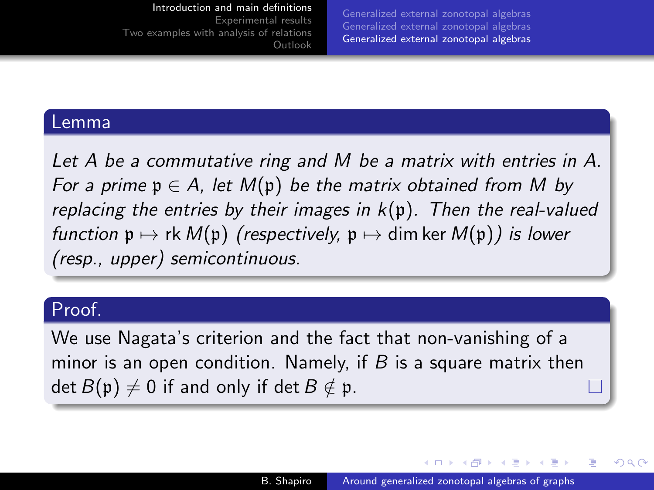[Generalized external zonotopal algebras](#page-9-0) [Generalized external zonotopal algebras](#page-17-0) [Generalized external zonotopal algebras](#page-20-0)

### Lemma

Let A be a commutative ring and M be a matrix with entries in A. For a prime  $p \in A$ , let  $M(p)$  be the matrix obtained from M by replacing the entries by their images in  $k(p)$ . Then the real-valued function  $\mathfrak{p} \mapsto \mathsf{rk} \, M(\mathfrak{p})$  (respectively,  $\mathfrak{p} \mapsto \dim \ker M(\mathfrak{p})$ ) is lower (resp., upper) semicontinuous.

[Outlook](#page-52-0)

### Proof.

We use Nagata's criterion and the fact that non-vanishing of a minor is an open condition. Namely, if  $B$  is a square matrix then det  $B(\mathfrak{p})\neq 0$  if and only if det  $B\notin \mathfrak{p}$ .

∢ロ ▶ ∢何 ▶ ∢ ヨ ▶ ∢ ヨ ▶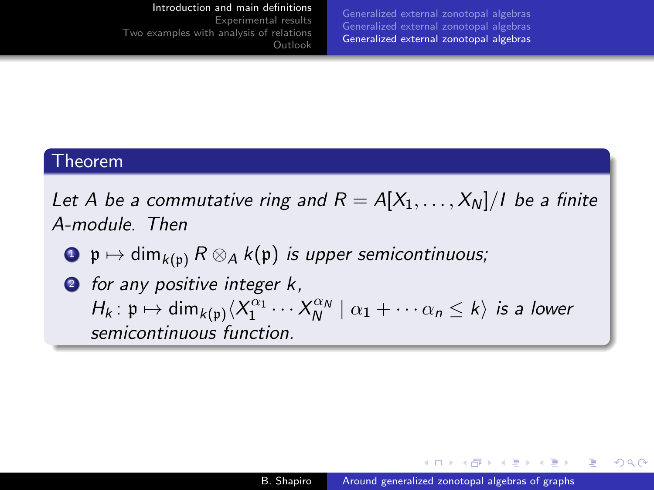#### [Introduction and main definitions](#page-1-0)

[Experimental results](#page-29-0) [Two examples with analysis of relations](#page-50-0) [Outlook](#page-52-0) [Generalized external zonotopal algebras](#page-9-0) [Generalized external zonotopal algebras](#page-17-0) [Generalized external zonotopal algebras](#page-20-0)

### Theorem

<span id="page-22-0"></span>Let A be a commutative ring and  $R = A[X_1, \ldots, X_N]/I$  be a finite A-module. Then

- $\bullet \mathfrak{p} \mapsto \dim_{k(\mathfrak{p})} R \otimes_A k(\mathfrak{p})$  is upper semicontinuous;
- **2** for any positive integer k,  $H_k: \mathfrak{p} \mapsto \dim_{k(\mathfrak{p})} \langle X_1^{\alpha_1} \cdots X_N^{\alpha_N} \mid \alpha_1 + \cdots \alpha_n \leq k \rangle$  is a lower semicontinuous function.

**∢ロト ⊀母 ▶ ∢∃ ▶ ∢∃ ▶**..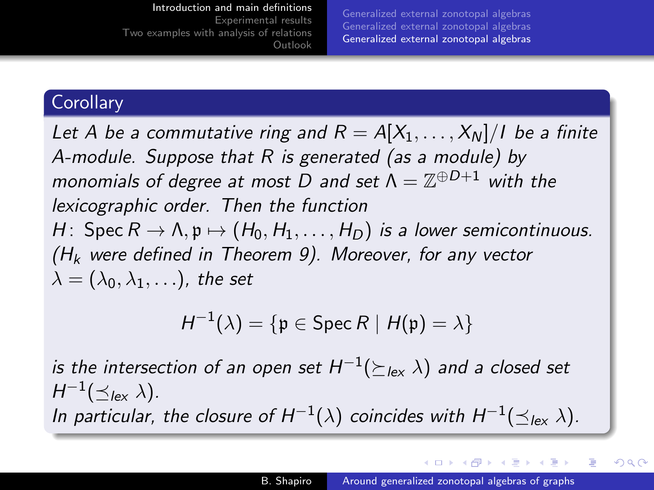[Generalized external zonotopal algebras](#page-9-0) [Generalized external zonotopal algebras](#page-17-0) [Generalized external zonotopal algebras](#page-20-0)

### **Corollary**

Let A be a commutative ring and  $R = A[X_1, \ldots, X_N]/I$  be a finite A-module. Suppose that R is generated (as a module) by monomials of degree at most D and set  $\Lambda=\mathbb{Z}^{\oplus D+1}$  with the lexicographic order. Then the function H: Spec  $R \to \Lambda$ ,  $p \mapsto (H_0, H_1, \ldots, H_D)$  is a lower semicontinuous.  $(H_k$  were defined in Theorem [9\)](#page-22-0). Moreover, for any vector  $\lambda = (\lambda_0, \lambda_1, \ldots)$ , the set

$$
H^{-1}(\lambda) = \{ \mathfrak{p} \in \operatorname{Spec} R \mid H(\mathfrak{p}) = \lambda \}
$$

is the intersection of an open set  $H^{-1}(\succeq_{lex} \lambda)$  and a closed set  $H^{-1}(\preceq_{\text{lex}} \lambda)$ . In particular, the closure of  $H^{-1}(\lambda)$  coincides with  $H^{-1}(\preceq_{\mathsf{lex}} \lambda)$ .

∢ロ ▶ ∢何 ▶ ∢ ヨ ▶ ∢ ヨ ▶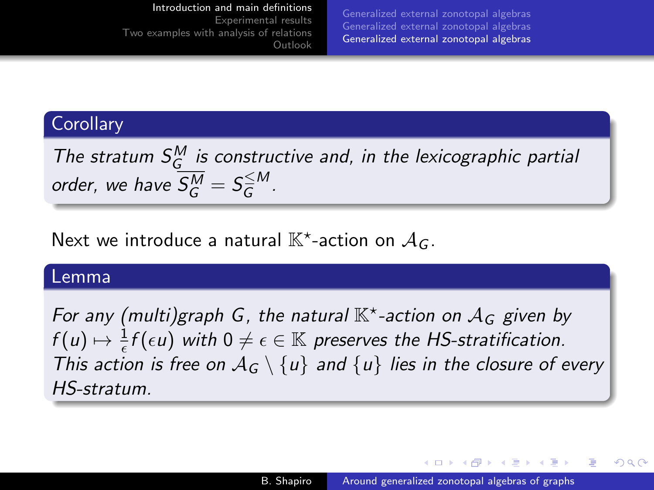[Generalized external zonotopal algebras](#page-9-0) [Generalized external zonotopal algebras](#page-17-0) [Generalized external zonotopal algebras](#page-20-0)

### **Corollary**

The stratum  $S_G^M$  is constructive and, in the lexicographic partial order, we have  $\overline{S_G^M} = S_{\overline{G}}^{\leq M}$  $\overline{\overline{G}}^{\prime\prime\prime}$  .

[Outlook](#page-52-0)

Next we introduce a natural  $\mathbb{K}^\star$ -action on  $\mathcal{A}_G$ .

### Lemma

For any (multi)graph G, the natural  $\mathbb{K}^*$ -action on  $\mathcal{A}_G$  given by  $f(u)\mapsto \frac{1}{\epsilon}f(\epsilon u)$  with  $0\neq \epsilon\in \mathbb{K}$  preserves the HS-stratification. This action is free on  $A_G \setminus \{u\}$  and  $\{u\}$  lies in the closure of every HS-stratum.

 $\left\{ \begin{array}{ccc} 1 & 0 & 0 \\ 0 & 1 & 0 \end{array} \right.$  ,  $\left\{ \begin{array}{ccc} \frac{1}{2} & 0 & 0 \\ 0 & 0 & 0 \end{array} \right.$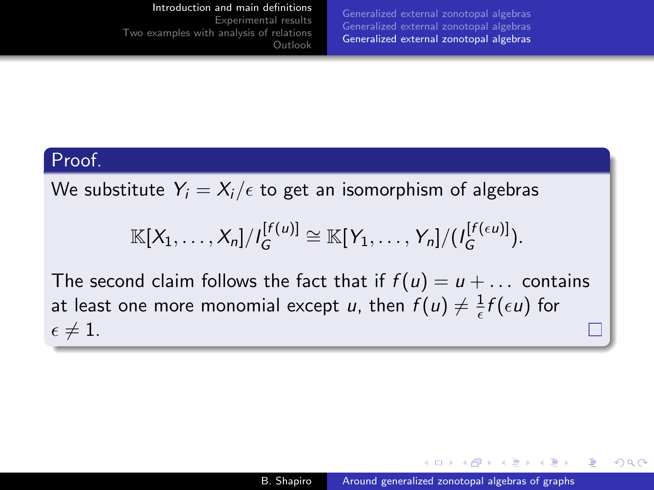#### [Introduction and main definitions](#page-1-0)

[Experimental results](#page-29-0) [Two examples with analysis of relations](#page-50-0) [Outlook](#page-52-0)

[Generalized external zonotopal algebras](#page-9-0) [Generalized external zonotopal algebras](#page-17-0) [Generalized external zonotopal algebras](#page-20-0)

### Proof.

We substitute  $Y_i = X_i/\epsilon$  to get an isomorphism of algebras

$$
\mathbb{K}[X_1,\ldots,X_n]/I_G^{[f(u)]}\cong \mathbb{K}[Y_1,\ldots,Y_n]/(I_G^{[f(\epsilon u)]}).
$$

The second claim follows the fact that if  $f(u) = u + \dots$  contains at least one more monomial except u, then  $f(u) \neq \frac{1}{\epsilon}$  $\frac{1}{\epsilon} f(\epsilon u)$  for  $\epsilon \neq 1$ .

∢ロ ▶ ∢何 ▶ ∢ ヨ ▶ ∢ ヨ ▶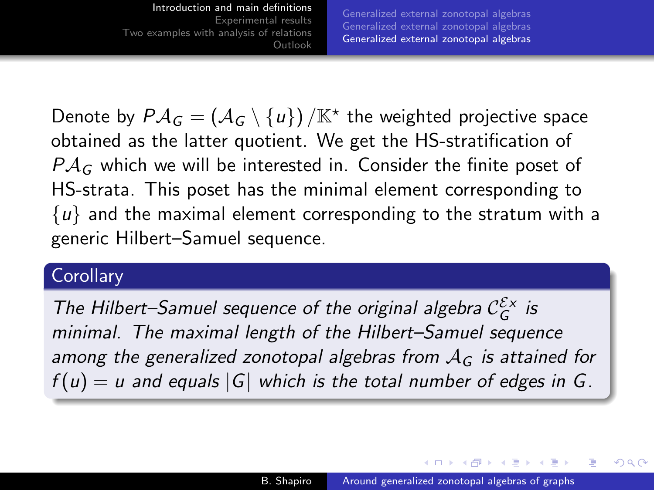[Generalized external zonotopal algebras](#page-9-0) [Generalized external zonotopal algebras](#page-17-0) [Generalized external zonotopal algebras](#page-20-0)

Denote by  $\mathcal{P} \mathcal{A}_G = \left( \mathcal{A}_G \setminus \{u\} \right) / \mathbb{K}^\star$  the weighted projective space obtained as the latter quotient. We get the HS-stratification of  $P A_G$  which we will be interested in. Consider the finite poset of HS-strata. This poset has the minimal element corresponding to  $\{u\}$  and the maximal element corresponding to the stratum with a generic Hilbert–Samuel sequence.

### **Corollary**

The Hilbert-Samuel sequence of the original algebra  $\mathcal{C}_G^{\mathcal{E}_X}$  is minimal. The maximal length of the Hilbert–Samuel sequence among the generalized zonotopal algebras from  $A_G$  is attained for  $f(u) = u$  and equals  $|G|$  which is the total number of edges in G.

∢ロ ▶ ∢何 ▶ ∢ ヨ ▶ ∢ ヨ ▶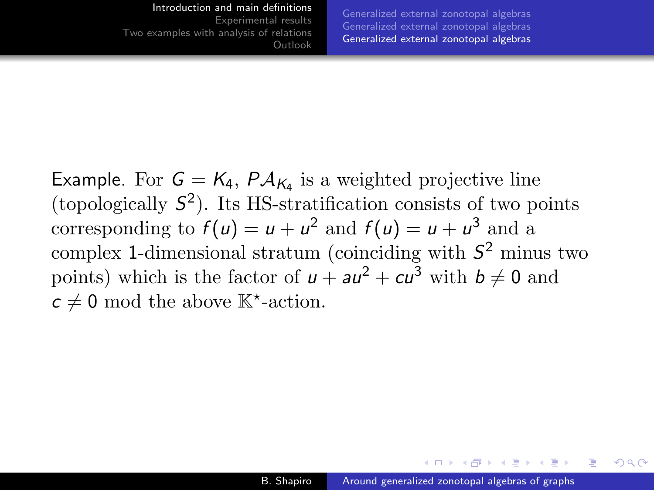#### [Introduction and main definitions](#page-1-0) [Experimental results](#page-29-0)

[Two examples with analysis of relations](#page-50-0) [Outlook](#page-52-0) [Generalized external zonotopal algebras](#page-9-0) [Generalized external zonotopal algebras](#page-17-0) [Generalized external zonotopal algebras](#page-20-0)

Example. For  $G = K_4$ ,  $P A_{K_4}$  is a weighted projective line (topologically  $S^2$ ). Its HS-stratification consists of two points corresponding to  $f(u) = u + u^2$  and  $f(u) = u + u^3$  and a complex 1-dimensional stratum (coinciding with  $S^2$  minus two points) which is the factor of  $u + au^2 + cu^3$  with  $b \neq 0$  and  $c \neq 0$  mod the above  $\mathbb{K}^*$ -action.

 $\mathcal{A}$  and  $\mathcal{A}$  . The set of  $\mathcal{B}$  is a set of  $\mathcal{B}$  is a set of  $\mathcal{B}$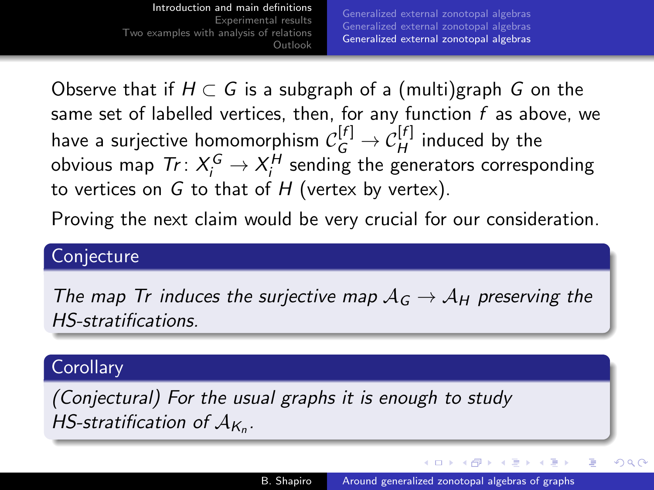<span id="page-28-0"></span>[Introduction and main definitions](#page-1-0) [Experimental results](#page-29-0) [Two examples with analysis of relations](#page-50-0) [Outlook](#page-52-0) [Generalized external zonotopal algebras](#page-9-0) [Generalized external zonotopal algebras](#page-17-0) [Generalized external zonotopal algebras](#page-20-0)

Observe that if  $H \subset G$  is a subgraph of a (multi)graph G on the same set of labelled vertices, then, for any function  $f$  as above, we have a surjective homomorphism  $\mathcal{C}_G^{[f]} \to \mathcal{C}_H^{[f]}$  induced by the obvious map  $\mathcal{T}r\colon X^G_i\to X^H_i$  sending the generators corresponding to vertices on  $G$  to that of  $H$  (vertex by vertex).

Proving the next claim would be very crucial for our consideration.

### **Conjecture**

The map Tr induces the surjective map  $A_G \rightarrow A_H$  preserving the HS-stratifications.

### **Corollary**

(Conjectural) For the usual graphs it is enough to study HS-stratification of  $\mathcal{A}_{K_n}$ .

∢ロ ▶ ∢何 ▶ ∢ ヨ ▶ ∢ ヨ ▶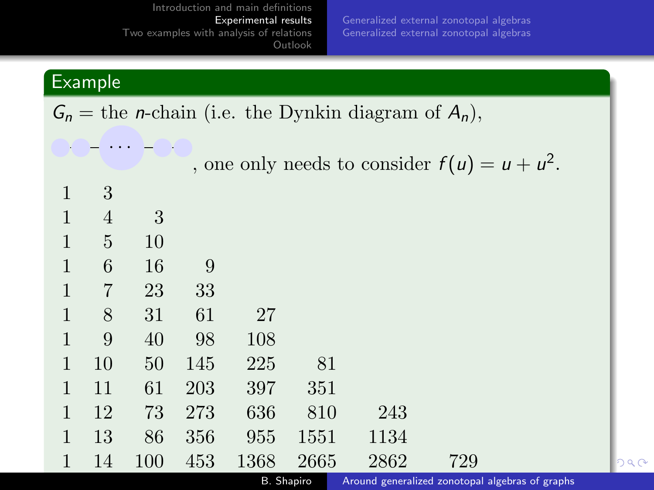[Generalized external zonotopal algebras](#page-40-0) [Generalized external zonotopal algebras](#page-45-0)

 $298$ 

# <span id="page-29-0"></span>**Example**

 $G_n =$  the *n*-chain (i.e. the Dynkin diagram of  $A_n$ ),

|   |    |     |     |            |      |      | , one only needs to consider $f(u) = u + u^2$ . |  |
|---|----|-----|-----|------------|------|------|-------------------------------------------------|--|
| 1 | 3  |     |     |            |      |      |                                                 |  |
| 1 | 4  | 3   |     |            |      |      |                                                 |  |
| 1 | 5  | 10  |     |            |      |      |                                                 |  |
| 1 | 6  | 16  | 9   |            |      |      |                                                 |  |
| 1 | 7  | 23  | 33  |            |      |      |                                                 |  |
| 1 | 8  | 31  | 61  | 27         |      |      |                                                 |  |
| 1 | 9  | 40  | 98  | 108        |      |      |                                                 |  |
| 1 | 10 | 50  | 145 | 225        | 81   |      |                                                 |  |
| 1 | 11 | 61  | 203 | 397        | 351  |      |                                                 |  |
| 1 | 12 | 73  | 273 | 636        | 810  | 243  |                                                 |  |
| 1 | 13 | 86  | 356 | 955        | 1551 | 1134 |                                                 |  |
|   | 14 | 100 | 453 | 1368       | 2665 | 2862 | 729                                             |  |
|   |    |     |     | B. Shapiro |      |      | Around generalized zonotopal algebras of graphs |  |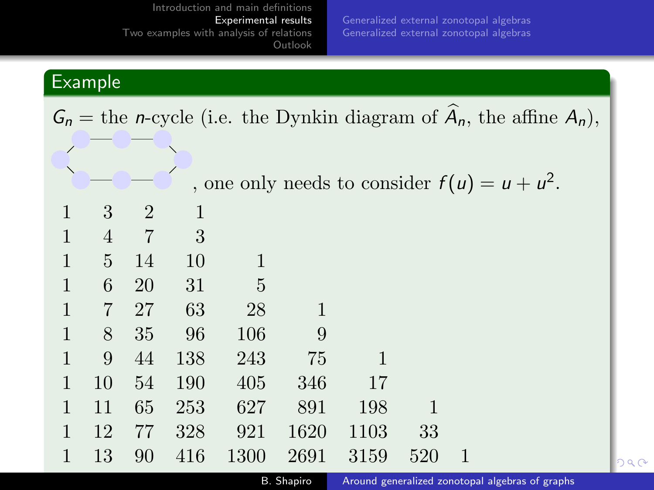[Generalized external zonotopal algebras](#page-45-0)

# <span id="page-30-0"></span>**Example**

|                               |                |                |     |      |      |      |     | $G_n$ = the <i>n</i> -cycle (i.e. the Dynkin diagram of $A_n$ , the affine $A_n$ ), |  |
|-------------------------------|----------------|----------------|-----|------|------|------|-----|-------------------------------------------------------------------------------------|--|
| ∕<br>$\overline{\phantom{0}}$ |                |                |     |      |      |      |     | , one only needs to consider $f(u) = u + u^2$ .                                     |  |
|                               | 3              | $\overline{2}$ | 1   |      |      |      |     |                                                                                     |  |
| 1                             | $\overline{4}$ | $\overline{7}$ | 3   |      |      |      |     |                                                                                     |  |
| $\mathbf{1}$                  | 5              | 14             | 10  | 1    |      |      |     |                                                                                     |  |
| $\mathbf{1}$                  | 6              | <b>20</b>      | 31  | 5    |      |      |     |                                                                                     |  |
| 1                             | $\overline{7}$ | 27             | 63  | 28   | 1    |      |     |                                                                                     |  |
| $\mathbf{1}$                  | 8              | 35             | 96  | 106  | 9    |      |     |                                                                                     |  |
| 1                             | 9              | 44             | 138 | 243  | 75   | 1    |     |                                                                                     |  |
| 1                             | 10             | 54             | 190 | 405  | 346  | 17   |     |                                                                                     |  |
| 1                             | 11             | 65             | 253 | 627  | 891  | 198  |     |                                                                                     |  |
| 1                             | 12             | 77             | 328 | 921  | 1620 | 1103 | 33  |                                                                                     |  |
| $\mathbf{1}$                  | 13             | 90             | 416 | 1300 | 2691 | 3159 | 520 |                                                                                     |  |

B. Shapiro **Around generalized zonotopal algebras of graphs**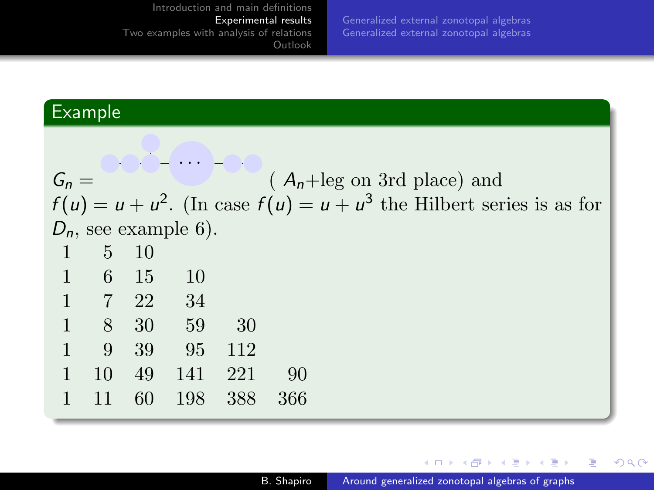[Generalized external zonotopal algebras](#page-45-0)

# <span id="page-31-0"></span>Example

| $G_n =$ |                |               |                         |       |     | $(A_n + \text{leg on 3rd place})$ and                                     |
|---------|----------------|---------------|-------------------------|-------|-----|---------------------------------------------------------------------------|
|         |                |               |                         |       |     | $f(u) = u + u^2$ . (In case $f(u) = u + u^3$ the Hilbert series is as for |
|         |                |               | $D_n$ , see example 6). |       |     |                                                                           |
|         | 5 <sup>5</sup> | <sup>10</sup> |                         |       |     |                                                                           |
|         | 6 15           |               | <sup>10</sup>           |       |     |                                                                           |
|         | 7 22           |               | - 34                    |       |     |                                                                           |
|         |                | 8 30 59       |                         | - 30  |     |                                                                           |
|         | 9              | 39            | 95                      | - 112 |     |                                                                           |
|         | 10             | 49            | 141                     | - 221 | 90  |                                                                           |
|         | 11             | 60            | 198                     | 388   | 366 |                                                                           |
|         |                |               |                         |       |     |                                                                           |

イロメ イ団メ イミメ イモメー

目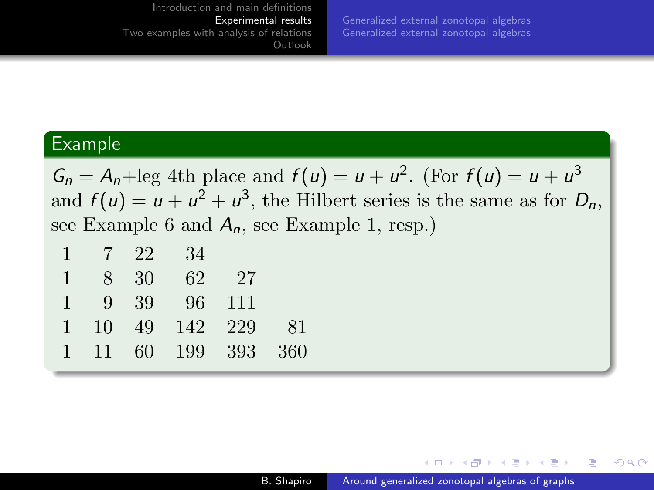[Generalized external zonotopal algebras](#page-40-0) [Generalized external zonotopal algebras](#page-45-0)

### Example

 $G_n = A_n + \text{leg 4th place and } f(u) = u + u^2$ . (For  $f(u) = u + u^3$ and  $f(u) = u + u^2 + u^3$ , the Hilbert series is the same as for  $D_n$ , see Example 6 and  $A_n$ , see Example 1, resp.)

|  | $1 \quad 7 \quad 22 \quad 34$ |  |
|--|-------------------------------|--|
|  | 1 8 30 62 27                  |  |
|  | 1 9 39 96 111                 |  |
|  | 1 10 49 142 229 81            |  |
|  | 1 11 60 199 393 360           |  |
|  |                               |  |

in a market man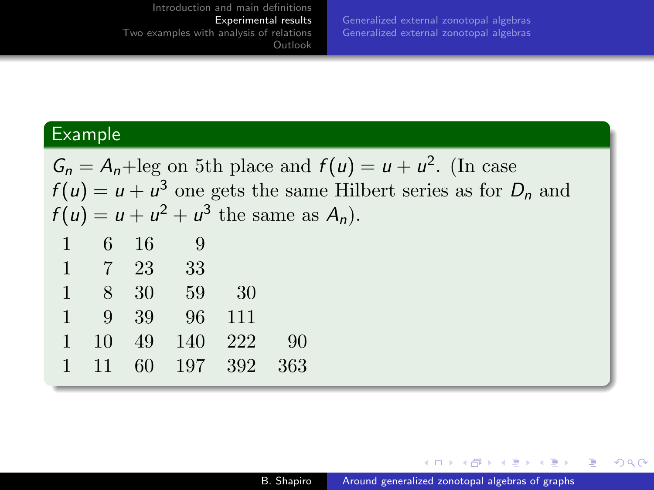[Generalized external zonotopal algebras](#page-40-0) [Generalized external zonotopal algebras](#page-45-0)

### Example

 $G_n = A_n + \text{leg on 5th place and } f(u) = u + u^2$ . (In case  $f(u) = u + u^3$  one gets the same Hilbert series as for  $D_n$  and  $f(u) = u + u^2 + u^3$  the same as  $A_n$ ).

| 1 | 6  | 16 | 9   |     |     |
|---|----|----|-----|-----|-----|
| 1 |    | 23 | 33  |     |     |
| 1 | 8  | 30 | 59  | 30  |     |
| 1 | 9  | 39 | 96  | 111 |     |
| 1 | 10 | 49 | 140 | 222 | 90  |
| 1 | 11 | 60 | 197 | 392 | 363 |
|   |    |    |     |     |     |

4 17 18

∢ 何 ▶ ( ヨ ▶ ( ヨ ▶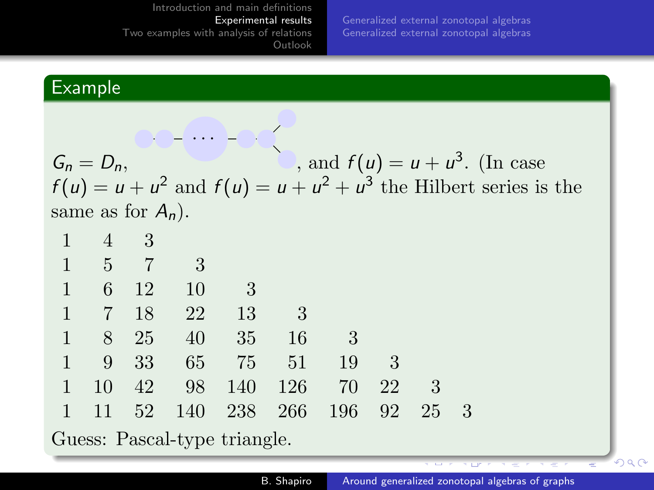[Generalized external zonotopal algebras](#page-40-0) [Generalized external zonotopal algebras](#page-45-0)

# Example

 $G_n = D_n$ · · · , and  $f(u) = u + u^3$ . (In case  $f(u) = u + u^2$  and  $f(u) = u + u^2 + u^3$  the Hilbert series is the same as for  $A_n$ ).

| $\mathbf{T}$ | $4 \quad 3$ |                                             |                           |                                                       |     |     |    |
|--------------|-------------|---------------------------------------------|---------------------------|-------------------------------------------------------|-----|-----|----|
|              |             | $1 \quad 5 \quad 7 \quad 3$                 |                           |                                                       |     |     |    |
| 1            |             | 6 12 10                                     | $\overline{\phantom{a}3}$ |                                                       |     |     |    |
|              |             | $1 \t 7 \t 18 \t 22$                        | - 13                      | $\begin{array}{ c c } \hline 3 \\ \hline \end{array}$ |     |     |    |
|              |             | 1 8 25 40 35 16                             |                           |                                                       | - 3 |     |    |
|              |             | $1 \t 9 \t 33 \t 65 \t 75 \t 51 \t 19 \t 3$ |                           |                                                       |     |     |    |
| $\ket{1}$    |             | 10 42 98 140 126 70 22                      |                           |                                                       |     | - 3 |    |
| $\ket{1}$    |             | 11 52 140 238 266 196 92 25                 |                           |                                                       |     |     | -3 |
|              |             |                                             |                           |                                                       |     |     |    |

Guess: Pascal-type triangle.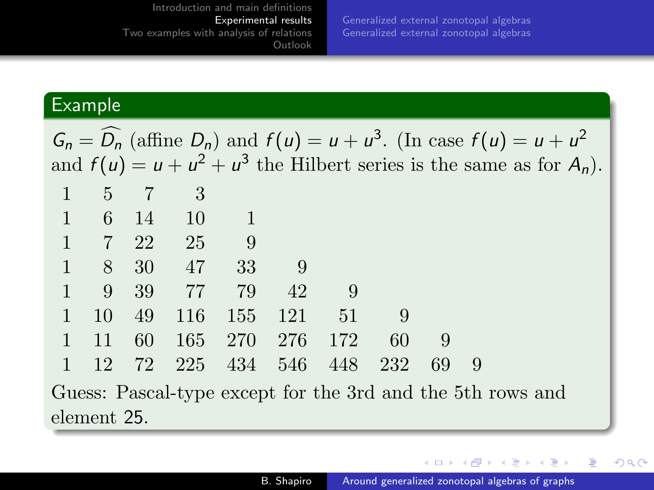[Generalized external zonotopal algebras](#page-45-0)

# Example

|              |                |             |                                       |                 |             | $G_n = D_n$ (affine $D_n$ ) and $f(u) = u + u^3$ . (In case $f(u) = u + u^2$ |     |     |     |  |  |
|--------------|----------------|-------------|---------------------------------------|-----------------|-------------|------------------------------------------------------------------------------|-----|-----|-----|--|--|
|              |                |             |                                       |                 |             | and $f(u) = u + u^2 + u^3$ the Hilbert series is the same as for $A_n$ ).    |     |     |     |  |  |
| $\mathbf{1}$ |                | $5 \quad 7$ | $\overline{\phantom{a}3}$             |                 |             |                                                                              |     |     |     |  |  |
| 1            |                | 6 14 10     |                                       |                 |             |                                                                              |     |     |     |  |  |
|              |                |             | $1 \quad 7 \quad 22 \quad 25 \quad 9$ |                 |             |                                                                              |     |     |     |  |  |
| $\mathbf{1}$ |                |             | 8 30 47 33                            |                 | - 9         |                                                                              |     |     |     |  |  |
|              | $\overline{9}$ |             | 39 77 79                              |                 | 42          | - 9                                                                          |     |     |     |  |  |
| $\mathbf{1}$ | 10             | 49          | 116                                   | 155 121         |             | - 51                                                                         |     |     |     |  |  |
| $\mathbf{1}$ | 11             | 60          |                                       | 165 270 276 172 |             |                                                                              | -60 | - 9 |     |  |  |
|              | 12             | 72          | 225                                   |                 | 434 546 448 |                                                                              | 232 | 69  | - 9 |  |  |
|              |                |             |                                       |                 |             | Guess: Pascal-type except for the 3rd and the 5th rows and                   |     |     |     |  |  |

element 25.

メロメ メタメ メミメ メミメー

重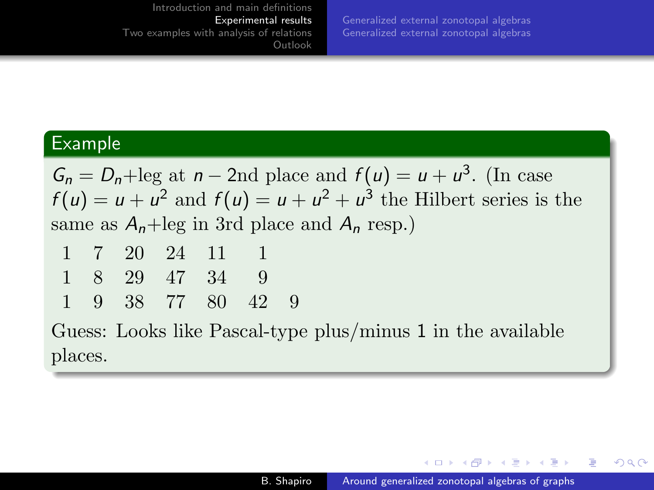[Generalized external zonotopal algebras](#page-40-0) [Generalized external zonotopal algebras](#page-45-0)

### Example

 $G_n = D_n + \text{leg at } n - 2\text{nd place and } f(u) = u + u^3$ . (In case  $f(u) = u + u^2$  and  $f(u) = u + u^2 + u^3$  the Hilbert series is the same as  $A_n + \text{leg in 3rd place and } A_n$  resp.)

|  | 1 7 20 24 11 1    |  |  |
|--|-------------------|--|--|
|  | 1 8 29 47 34 9    |  |  |
|  | 1 9 38 77 80 42 9 |  |  |

Guess: Looks like Pascal-type plus/minus 1 in the available places.

 $\mathcal{A}$  and  $\mathcal{A}$  . The set of  $\mathcal{B}$  is a set of  $\mathcal{B}$  is a set of  $\mathcal{B}$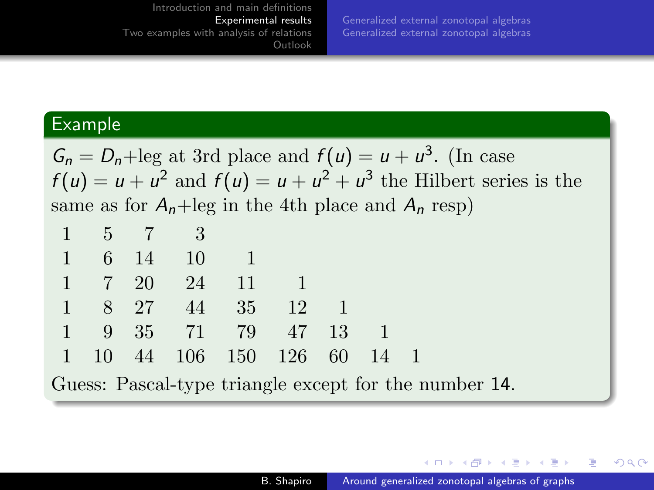[Generalized external zonotopal algebras](#page-40-0) [Generalized external zonotopal algebras](#page-45-0)

### Example

 $G_n = D_n + \text{leg at 3rd place and } f(u) = u + u^3$ . (In case  $f(u) = u + u^2$  and  $f(u) = u + u^2 + u^3$  the Hilbert series is the same as for  $A_n + \text{leg}$  in the 4th place and  $A_n$  resp)

|  | $1 \quad 5 \quad 7 \quad 3$<br>$1 \t 6 \t 14 \t 10$ | $1 \quad 7 \quad 20 \quad 24 \quad 11$ | 1 8 27 44 35 12 | 1 9 35 71 79 47 13 | 1 10 44 106 150 126 60 14 |  |
|--|-----------------------------------------------------|----------------------------------------|-----------------|--------------------|---------------------------|--|

Guess: Pascal-type triangle except for the number 14.

4 17 18

 $\left\{ \bigoplus_k k \bigoplus_k k \bigoplus_k k \right\}$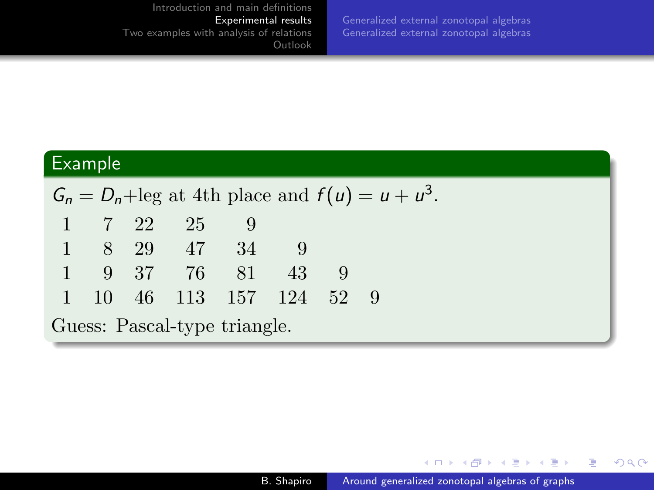[Generalized external zonotopal algebras](#page-45-0)

# Example

|              |                | $G_n = D_n + \text{leg at 4th place and } f(u) = u + u^3.$ |     |  |  |
|--------------|----------------|------------------------------------------------------------|-----|--|--|
|              | $1 \t 7 \t 22$ | - 25                                                       |     |  |  |
|              |                | 1 8 29 47 34                                               |     |  |  |
| $\mathbf{1}$ |                | 9 37 76 81                                                 | -43 |  |  |
|              |                | 1 10 46 113 157 124 52                                     |     |  |  |
|              |                | Guess: Pascal-type triangle.                               |     |  |  |

**K ロト K 御 ト K 君 ト K 君 ト** 

目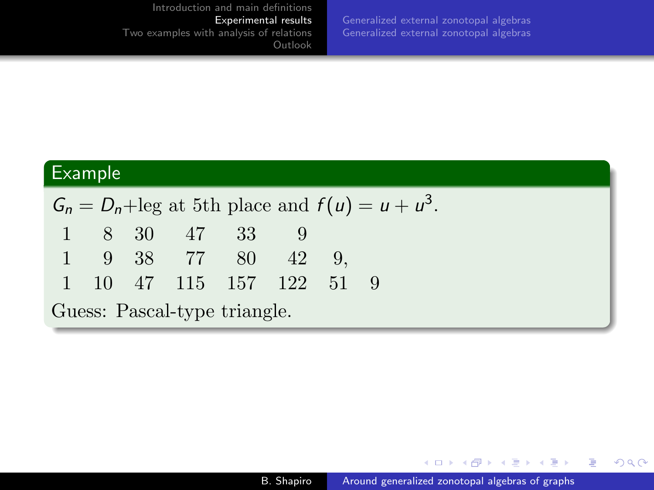[Generalized external zonotopal algebras](#page-40-0) [Generalized external zonotopal algebras](#page-45-0)

### Example

 $G_n = D_n + \text{leg at 5th place and } f(u) = u + u^3.$ 1 8 30 47 33 9 1 9 38 77 80 42 9, 1 10 47 115 157 122 51 9 Guess: Pascal-type triangle.

4 0 8

 $\langle \overline{A} \rangle$   $\rightarrow$   $\langle \overline{A} \rangle$   $\rightarrow$   $\langle \overline{A} \rangle$ 

つくへ

э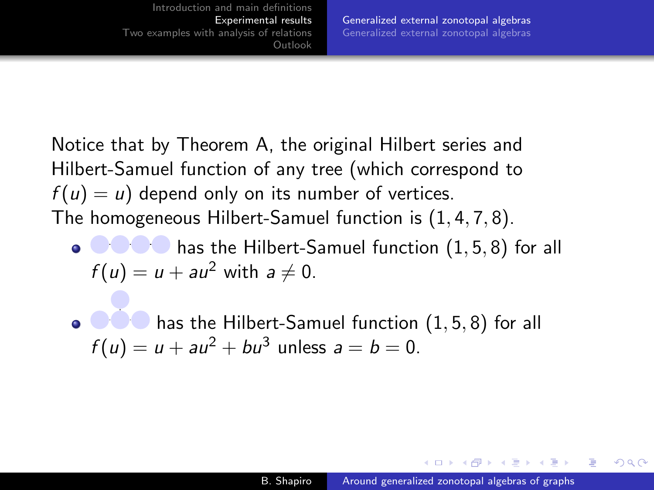<span id="page-40-0"></span>Notice that by Theorem [A,](#page-7-0) the original Hilbert series and Hilbert-Samuel function of any tree (which correspond to  $f(u) = u$ ) depend only on its number of vertices. The homogeneous Hilbert-Samuel function is (1, 4, 7, 8).

**• COO** has the Hilbert-Samuel function  $(1, 5, 8)$  for all  $f(u) = u + au^2$  with  $a \neq 0$ .

has the Hilbert-Samuel function (1, 5, 8) for all  $\bullet$  000  $f(u) = u + au^2 + bu^3$  unless  $a = b = 0$ .

 $\mathcal{A}$  and  $\mathcal{A}$  . The set of  $\mathcal{B}$  is a set of  $\mathcal{B}$  is a set of  $\mathcal{B}$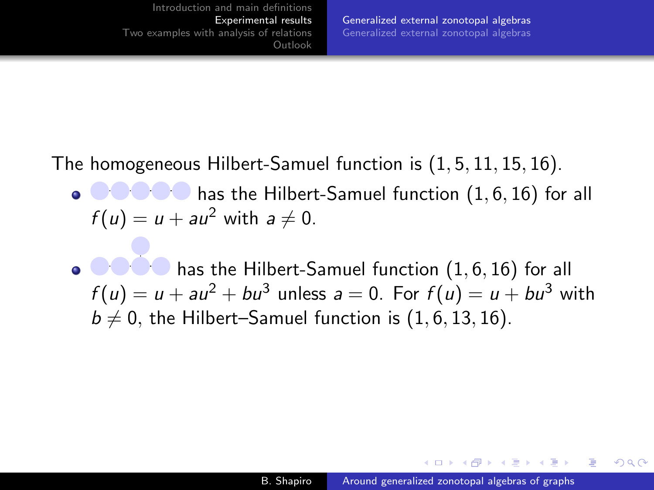<span id="page-41-0"></span>The homogeneous Hilbert-Samuel function is (1, 5, 11, 15, 16).

- $\bullet$   $\bullet$   $\bullet$   $\bullet$  has the Hilbert-Samuel function  $(1, 6, 16)$  for all  $f(u) = u + au^2$  with  $a \neq 0$ .
- has the Hilbert-Samuel function (1, 6, 16) for all  $f(u) = u + au^2 + bu^3$  unless  $a = 0$ . For  $f(u) = u + bu^3$  with  $b \neq 0$ , the Hilbert–Samuel function is  $(1, 6, 13, 16)$ .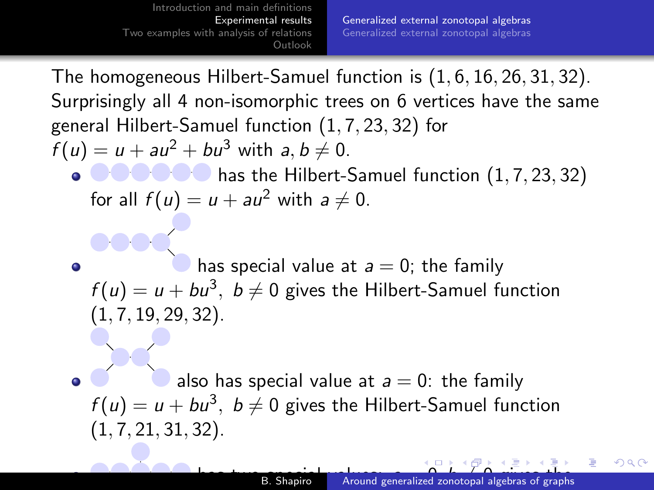<span id="page-42-0"></span>The homogeneous Hilbert-Samuel function is (1, 6, 16, 26, 31, 32). Surprisingly all 4 non-isomorphic trees on 6 vertices have the same general Hilbert-Samuel function (1, 7, 23, 32) for  $f(u) = u + au^2 + bu^3$  with  $a, b \neq 0$ .  $\bullet$   $\bullet$   $\bullet$   $\bullet$   $\bullet$  has the Hilbert-Samuel function  $(1, 7, 23, 32)$ for all  $f(u) = u + au^2$  with  $a \neq 0$ . has special value at  $a = 0$ ; the family  $\bullet$  $f(u) = u + bu^3$ ,  $b \neq 0$  gives the Hilbert-Samuel function  $(1, 7, 19, 29, 32)$ .

also has special value at  $a = 0$ : the family  $f(u) = u + bu^3$ ,  $b \neq 0$  gives the Hilbert-Samuel function  $(1, 7, 21, 31, 32)$ .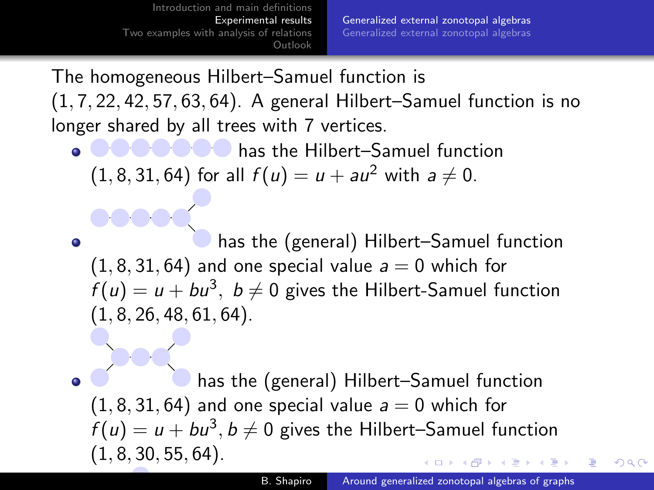<span id="page-43-0"></span>The homogeneous Hilbert–Samuel function is (1, 7, 22, 42, 57, 63, 64). A general Hilbert–Samuel function is no longer shared by all trees with 7 vertices.

**COOCO** has the Hilbert–Samuel function  $(1, 8, 31, 64)$  for all  $f(u) = u + au^2$  with  $a \neq 0$ .

has the (general) Hilbert–Samuel function  $\bullet$  $(1, 8, 31, 64)$  and one special value  $a = 0$  which for  $f(u) = u + bu^3$ ,  $b \neq 0$  gives the Hilbert-Samuel function  $(1, 8, 26, 48, 61, 64)$ .

has the (general) Hilbert–Samuel function ۰  $(1, 8, 31, 64)$  and one special value  $a = 0$  which for  $f(u) = u + bu^3$ ,  $b \neq 0$  gives the Hilbert–Samuel function  $(1, 8, 30, 55, 64)$ .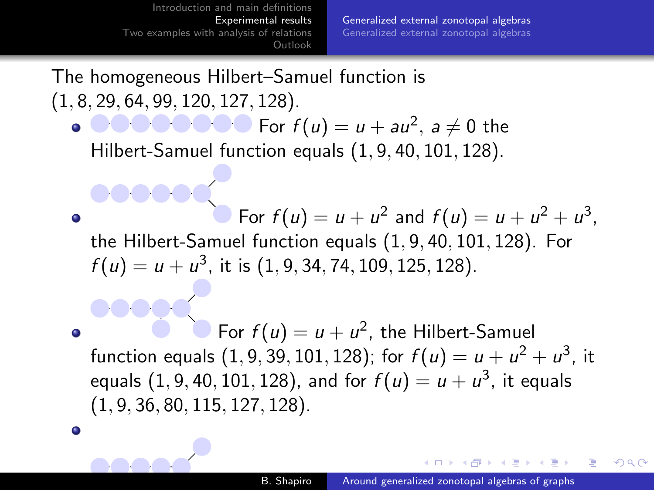$\bullet$ 

 $\bullet$ 

[Generalized external zonotopal algebras](#page-40-0) [Generalized external zonotopal algebras](#page-45-0)

The homogeneous Hilbert–Samuel function is (1, 8, 29, 64, 99, 120, 127, 128).

For  $f(u) = u + au^2$ ,  $a \neq 0$  the Hilbert-Samuel function equals (1, 9, 40, 101, 128).

For  $f(u) = u + u^2$  and  $f(u) = u + u^2 + u^3$ , the Hilbert-Samuel function equals (1, 9, 40, 101, 128). For  $f(u) = u + u^3$ , it is  $(1, 9, 34, 74, 109, 125, 128)$ .

For  $f(u) = u + u^2$ , the Hilbert-Samuel ٥ function equals  $(1, 9, 39, 101, 128)$ ; for  $f(u) = u + u^2 + u^3$ , it equals  $(1, 9, 40, 101, 128)$ , and for  $f(u) = u + u^3$ , it equals (1, 9, 36, 80, 115, 127, 128).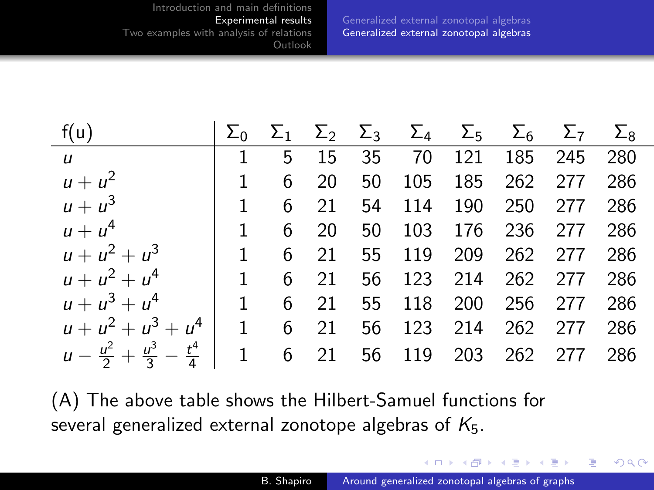[Generalized external zonotopal algebras](#page-40-0) [Generalized external zonotopal algebras](#page-45-0)

<span id="page-45-0"></span>

| f(u)                                                                        |              |                |      |    |            |     | $\Sigma_0$ $\Sigma_1$ $\Sigma_2$ $\Sigma_3$ $\Sigma_4$ $\Sigma_5$ $\Sigma_6$ $\Sigma_7$ $\Sigma_8$ |     |     |
|-----------------------------------------------------------------------------|--------------|----------------|------|----|------------|-----|----------------------------------------------------------------------------------------------------|-----|-----|
| $\mathbf{u}$                                                                | $\mathbf{1}$ | 5              | 15   | 35 | 70         |     | 121 185                                                                                            | 245 | 280 |
| $u + u^2$                                                                   | $\mathbf{1}$ | 6              | 20   | 50 |            |     | 105 185 262                                                                                        | 277 | 286 |
| $u + u^3$                                                                   | $\mathbf{1}$ |                | 6 21 |    | 54 114 190 |     | 250                                                                                                | 277 | 286 |
| $u + u4$                                                                    | $\mathbf{1}$ | 6              | 20   | 50 | 103        |     | 176 236                                                                                            | 277 | 286 |
| $u + u^2 + u^3$                                                             | $\mathbf{1}$ | 6              | 21   |    | 55 119     | 209 | 262                                                                                                | 277 | 286 |
| $u + u^{2} + u^{4}$                                                         | $\mathbf{1}$ |                | 6 21 |    |            |     | 56 123 214 262 277                                                                                 |     | 286 |
| $u + u^{3} + u^{4}$                                                         | $\mathbf{1}$ |                | 6 21 |    | 55 118 200 |     | 256 277                                                                                            |     | 286 |
| $u + u^{2} + u^{3} + u^{4}$                                                 |              | $1 \t 6 \t 21$ |      |    | 56 123 214 |     | 262                                                                                                | 277 | 286 |
| $u - \frac{u^2}{2} + \frac{u^3}{3} - \frac{t^4}{4}$   1 6 21 56 119 203 262 |              |                |      |    |            |     |                                                                                                    | 277 | 286 |

(A) The above table shows the Hilbert-Samuel functions for several generalized external zonotope algebras of  $K_5$ .

イロメ イ母メ イヨメ イヨ

 $QQ$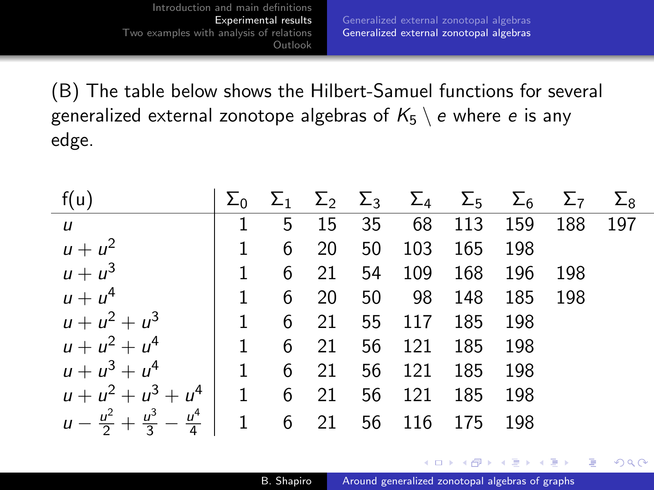٠

[Generalized external zonotopal algebras](#page-40-0) [Generalized external zonotopal algebras](#page-45-0)

(B) The table below shows the Hilbert-Samuel functions for several generalized external zonotope algebras of  $K_5 \setminus e$  where e is any edge.

| f(u)                                                                      |                                 |   |        |    |                                    |         | $\Sigma_0$ $\Sigma_1$ $\Sigma_2$ $\Sigma_3$ $\Sigma_4$ $\Sigma_5$ $\Sigma_6$ $\Sigma_7$ $\Sigma_8$ |       |  |
|---------------------------------------------------------------------------|---------------------------------|---|--------|----|------------------------------------|---------|----------------------------------------------------------------------------------------------------|-------|--|
| $\vec{u}$                                                                 |                                 | 5 | 15     |    |                                    |         | 35 68 113 159 188 197                                                                              |       |  |
| $u + u^2$                                                                 | $\sim 1$                        | 6 | 20     | 50 | 103                                | 165 198 |                                                                                                    |       |  |
| $u + u^3$                                                                 | $\begin{array}{cc} \end{array}$ | 6 | 21     |    | 54 109 168 196                     |         |                                                                                                    | - 198 |  |
| $u + u4$                                                                  |                                 |   |        |    |                                    |         |                                                                                                    |       |  |
| $u + u^2 + u^3$                                                           |                                 |   |        |    | $1 \t 6 \t 21 \t 55 \t 117 \t 185$ |         | - 198                                                                                              |       |  |
| $u + u^2 + u^4$                                                           |                                 | 6 | 21     |    | 56 121 185                         |         | - 198                                                                                              |       |  |
| $u+u^3+u^4$ 1 6                                                           |                                 |   | 21     |    | 56 121 185 198                     |         |                                                                                                    |       |  |
| $u + u^{2} + u^{3} + u^{4}$                                               |                                 |   | 1 6 21 |    | 56 121                             | 185     | - 198                                                                                              |       |  |
| $u - \frac{u^2}{2} + \frac{u^3}{3} - \frac{u^4}{4}$ 1 6 21 56 116 175 198 |                                 |   |        |    |                                    |         |                                                                                                    |       |  |

4 17 18

∢ 何 ▶ ( ヨ ▶ ( ヨ ▶

 $QQ$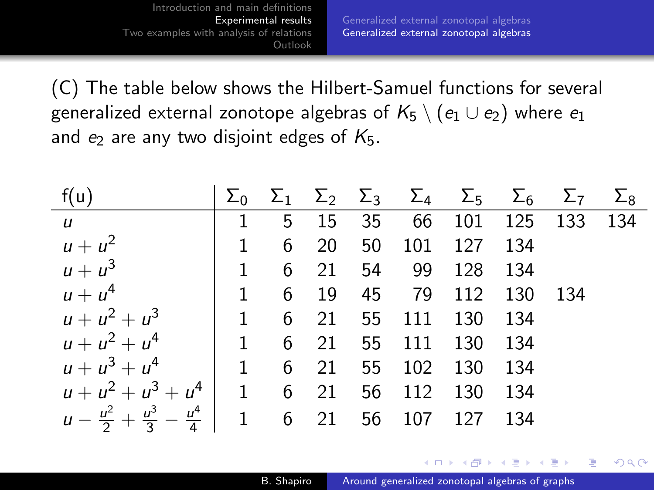(C) The table below shows the Hilbert-Samuel functions for several generalized external zonotope algebras of  $K_5 \setminus (e_1 \cup e_2)$  where  $e_1$ and  $e_2$  are any two disjoint edges of  $K_5$ .

| f(u)                                                                      |     |  |                       | $\Sigma_0$ $\Sigma_1$ $\Sigma_2$ $\Sigma_3$ $\Sigma_4$ $\Sigma_5$ $\Sigma_6$ $\Sigma_7$ $\Sigma_8$ |  |
|---------------------------------------------------------------------------|-----|--|-----------------------|----------------------------------------------------------------------------------------------------|--|
| $\boldsymbol{u}$                                                          | 1 5 |  |                       | 15 35 66 101 125 133 134                                                                           |  |
| $u + u^2$                                                                 |     |  | 1 6 20 50 101 127 134 |                                                                                                    |  |
| $u + u^3$                                                                 |     |  | 1 6 21 54 99 128 134  |                                                                                                    |  |
| $u + u4$                                                                  |     |  | 1 6 19 45 79 112 130  | - 134                                                                                              |  |
| $u + u^2 + u^3$ 1 6 21 55 111 130 134                                     |     |  |                       |                                                                                                    |  |
| $u + u^2 + u^4$ 1 6 21 55 111 130 134                                     |     |  |                       |                                                                                                    |  |
| $u + u^3 + u^4$ 1 6 21 55 102 130 134                                     |     |  |                       |                                                                                                    |  |
| $u + u^2 + u^3 + u^4$ 1 6 21 56 112 130 134                               |     |  |                       |                                                                                                    |  |
| $u - \frac{u^2}{2} + \frac{u^3}{3} - \frac{u^4}{4}$ 1 6 21 56 107 127 134 |     |  |                       |                                                                                                    |  |

a mara a mara

 $\Omega$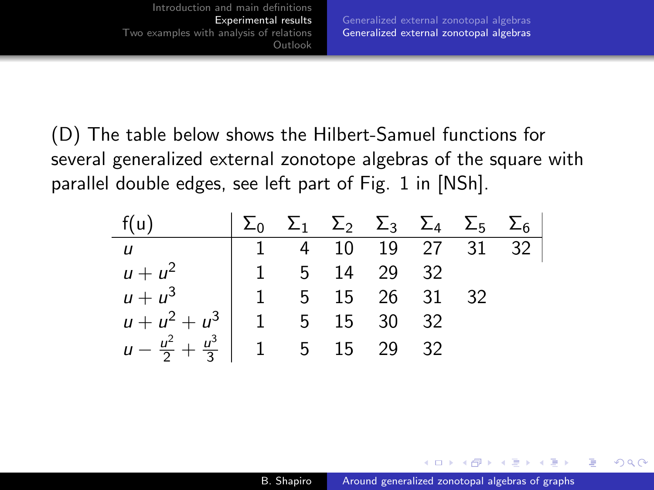(D) The table below shows the Hilbert-Samuel functions for several generalized external zonotope algebras of the square with parallel double edges, see left part of Fig. 1 in [\[NSh\]](#page-55-4).

| f(u)                                             | $\sum_0$ $\Sigma_1$ $\Sigma_2$ $\Sigma_3$ $\Sigma_4$ $\Sigma_5$ $\Sigma_6$ |                    |  |  |
|--------------------------------------------------|----------------------------------------------------------------------------|--------------------|--|--|
| $\boldsymbol{u}$ .                               |                                                                            | 1 4 10 19 27 31 32 |  |  |
| $u + u^2$ 1 5 14 29 32                           |                                                                            |                    |  |  |
| $u + u^3$   1 5 15 26 31 32                      |                                                                            |                    |  |  |
| $u + u^2 + u^3$ 1 5 15 30 32                     |                                                                            |                    |  |  |
| $u - \frac{u^2}{2} + \frac{u^3}{3}$ 1 5 15 29 32 |                                                                            |                    |  |  |

∢ 何 ▶ ( ヨ ▶ ( ヨ ▶

 $\Omega$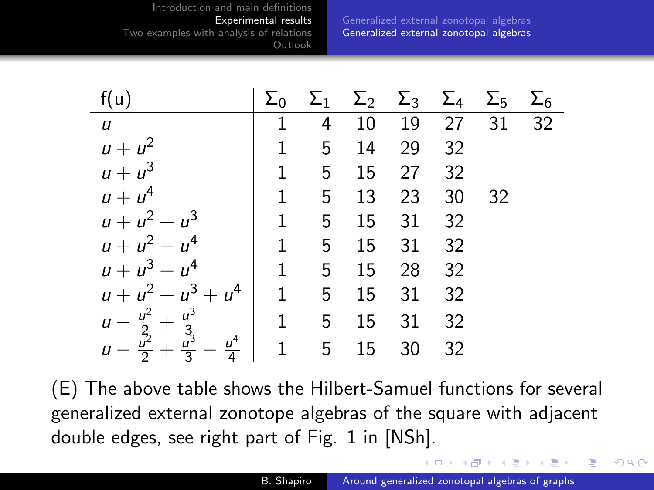[Generalized external zonotopal algebras](#page-40-0) [Generalized external zonotopal algebras](#page-45-0)

| f(u)                                                                                       |   |                      |            |          |    |       | $\Sigma_0$ $\Sigma_1$ $\Sigma_2$ $\Sigma_3$ $\Sigma_4$ $\Sigma_5$ $\Sigma_6$ |
|--------------------------------------------------------------------------------------------|---|----------------------|------------|----------|----|-------|------------------------------------------------------------------------------|
| $\boldsymbol{u}$                                                                           |   |                      |            |          |    |       | 4 10 19 27 31 32                                                             |
| $u + u^2$                                                                                  | 1 | 5 <sub>5</sub>       |            | 14 29 32 |    |       |                                                                              |
| $u + u^3$                                                                                  |   | 1 5 15 27 32         |            |          |    |       |                                                                              |
| $u + u4$                                                                                   |   | 1 5 13 23            |            |          |    | 30 32 |                                                                              |
| $u + u^{2} + u^{3}$                                                                        |   | $1 \t 5 \t 15 \t 31$ |            |          | 32 |       |                                                                              |
| $u + u^{2} + u^{4}$                                                                        | 1 |                      | 5 15 31 32 |          |    |       |                                                                              |
| $u + u^{3} + u^{4}$                                                                        |   | 1 5 15 28 32         |            |          |    |       |                                                                              |
| $u + u^2 + u^3 + u^4$                                                                      |   | $1 \quad 5$          |            | 15 31    | 32 |       |                                                                              |
| $u - \frac{u^2}{2} + \frac{u^3}{3}$<br>$u - \frac{u^2}{2} + \frac{u^3}{3} - \frac{u^4}{4}$ |   | $1 \t 5 \t 15 \t 31$ |            |          | 32 |       |                                                                              |
|                                                                                            |   | $1 \quad 5 \quad 15$ |            | 30       | 32 |       |                                                                              |

(E) The above table shows the Hilbert-Samuel functions for several generalized external zonotope algebras of the square with adjacent double edges, see right part of Fig. 1 in [\[NSh\]](#page-55-4).

∢ロト ∢母 ト ∢ ヨ ト ∢ ヨ ト

 $\Omega$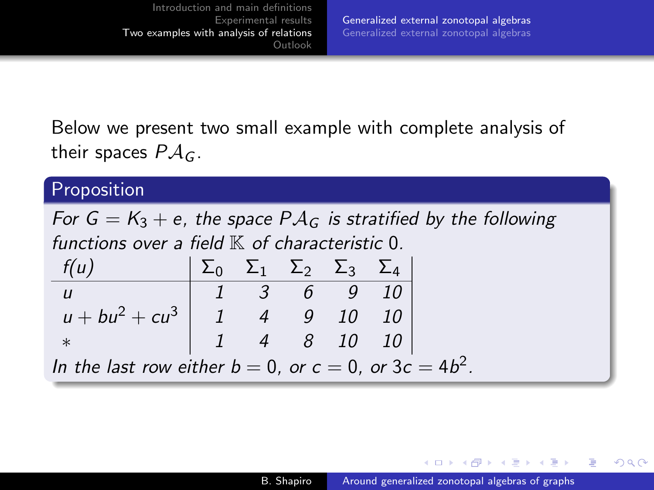<span id="page-50-0"></span>Below we present two small example with complete analysis of their spaces  $P \mathcal{A}_G$ .

# **Proposition**

For  $G = K_3 + e$ , the space  $P A_G$  is stratified by the following functions over a field  $\mathbb K$  of characteristic 0.  $f(u)$   $\sum_0$   $\sum_1$   $\sum_2$   $\sum_3$   $\sum_4$ u 1 3 6 9 10  $u + bu^2 + cu^3$  1 4 9 10 10 ∗ 1 4 8 10 10 In the last row either  $b = 0$ , or  $c = 0$ , or  $3c = 4b^2$ .

∢何 ▶ ∢ ヨ ▶ ∢ ヨ ▶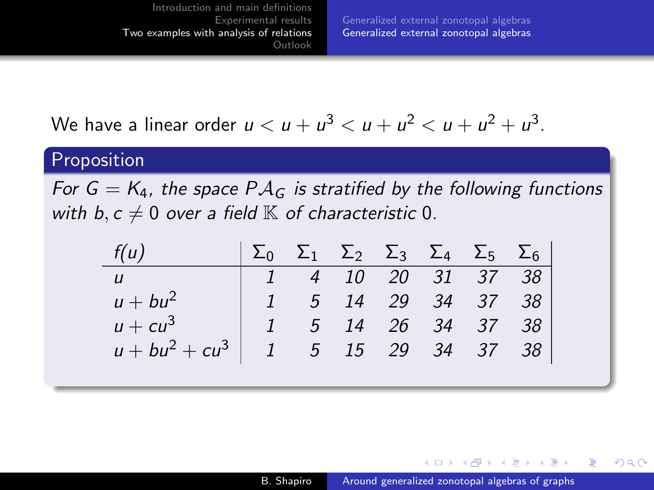[Generalized external zonotopal algebras](#page-50-0) [Generalized external zonotopal algebras](#page-51-0)

<span id="page-51-0"></span>We have a linear order 
$$
u < u + u^3 < u + u^2 < u + u^2 + u^3
$$
.

### Proposition

For  $G = K_4$ , the space  $P A_G$  is stratified by the following functions with b,  $c \neq 0$  over a field  $\mathbb K$  of characteristic 0.

| f(u)                                 |  |  |  | $\Sigma_0$ $\Sigma_1$ $\Sigma_2$ $\Sigma_3$ $\Sigma_4$ $\Sigma_5$ $\Sigma_6$ |
|--------------------------------------|--|--|--|------------------------------------------------------------------------------|
| U                                    |  |  |  | $1 \quad 4 \quad 10 \quad 20 \quad 31 \quad 37 \quad 38$                     |
| $u + bu^2$                           |  |  |  | $1 \quad 5 \quad 14 \quad 29 \quad 34 \quad 37 \quad 38$                     |
| $u + cu^3$                           |  |  |  | $5$ 14 26 34 37 38                                                           |
| $u + bu^2 + cu^3$ 1 5 15 29 34 37 38 |  |  |  |                                                                              |

∢ロ ▶ ∢何 ▶ ∢ ヨ ▶ ∢ ヨ ▶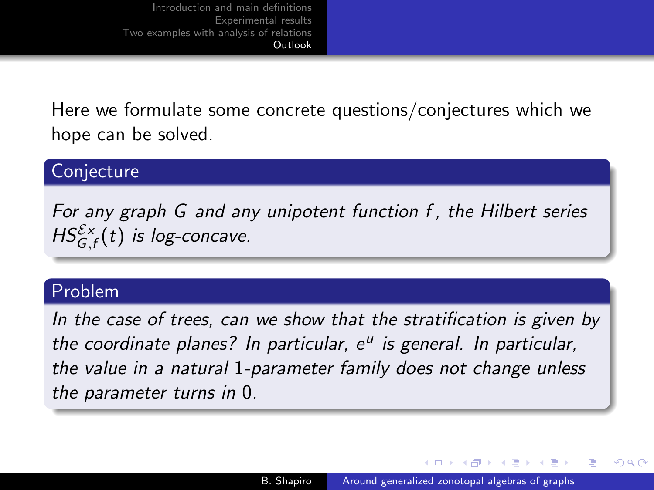<span id="page-52-0"></span>Here we formulate some concrete questions/conjectures which we hope can be solved.

# Conjecture

For any graph G and any unipotent function f , the Hilbert series  $HS_{G,f}^{\mathcal{E} \times}(t)$  is log-concave.

### Problem

In the case of trees, can we show that the stratification is given by the coordinate planes? In particular, e<sup>u</sup> is general. In particular, the value in a natural 1-parameter family does not change unless the parameter turns in 0.

イロ トラ 河 トラ ミュートラン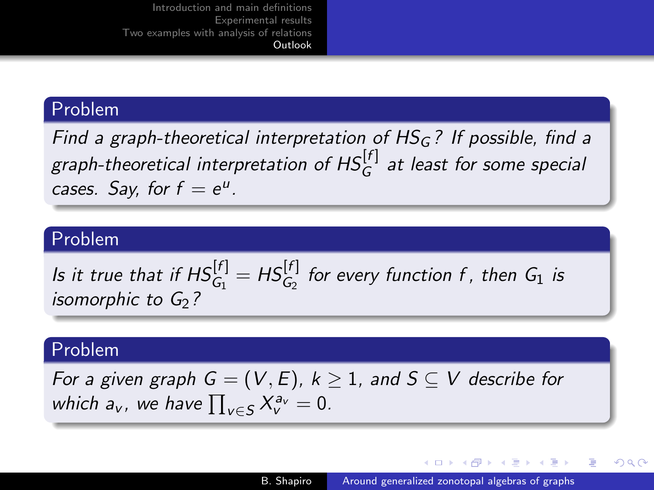### <span id="page-53-0"></span>Problem

Find a graph-theoretical interpretation of  $HS<sub>G</sub>$ ? If possible, find a graph-theoretical interpretation of  $\mathsf{HS}^{[f]}_\mathsf{G}$  at least for some special cases. Say, for  $f = e^u$ .

### Problem

Is it true that if  $\textit{HS}^{[f]}_{G_1}=\textit{HS}^{[f]}_{G_2}$  for every function f , then  $G_1$  is isomorphic to  $G<sub>2</sub>$ ?

### Problem

For a given graph  $G = (V, E)$ ,  $k \geq 1$ , and  $S \subseteq V$  describe for which  $a_v$ , we have  $\prod_{v \in S} X_v^{a_v} = 0$ .

∢ロ ▶ ∢何 ▶ ∢ ヨ ▶ ∢ ヨ ▶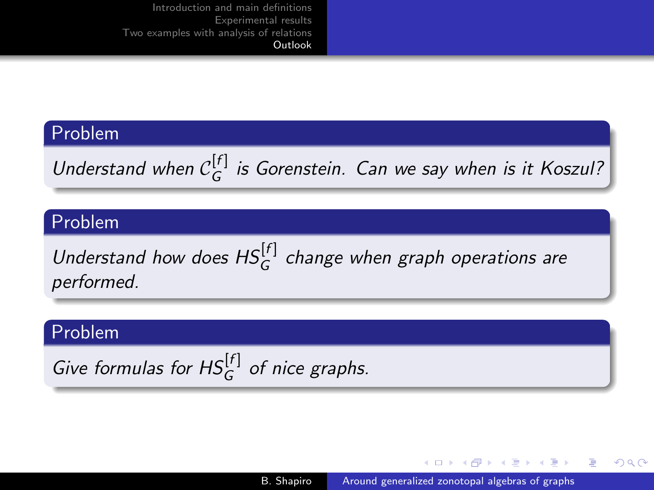### <span id="page-54-0"></span>Problem

Understand when  $C_G^{[f]}$  $G^{[1]}_G$  is Gorenstein. Can we say when is it Koszul?

### Problem

Understand how does  $\mathsf{HS}_{G}^{[f]}$  change when graph operations are performed.

### Problem

Give formulas for  $HS_G^{[f]}$  of nice graphs.

メロメ メタメ メミメ メミメー

 $QQ$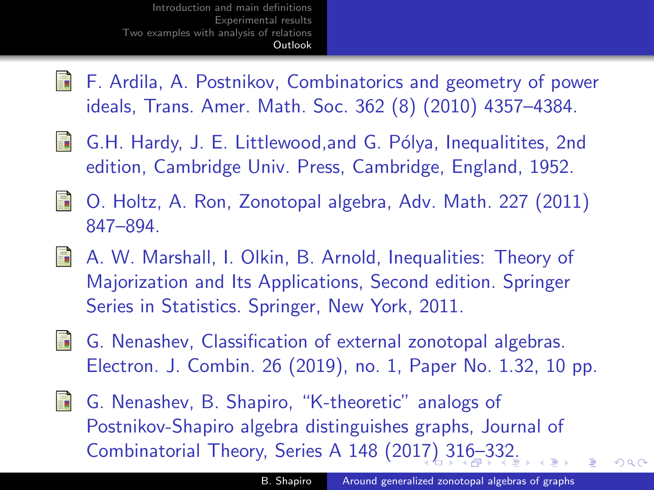- <span id="page-55-5"></span><span id="page-55-0"></span>畐 F. Ardila, A. Postnikov, Combinatorics and geometry of power ideals, Trans. Amer. Math. Soc. 362 (8) (2010) 4357–4384.
- E. G.H. Hardy, J. E. Littlewood, and G. Pólya, Inequalitites, 2nd edition, Cambridge Univ. Press, Cambridge, England, 1952.
- <span id="page-55-1"></span>O. Holtz, A. Ron, Zonotopal algebra, Adv. Math. 227 (2011) 847–894.
- A. W. Marshall, I. Olkin, B. Arnold, Inequalities: Theory of Majorization and Its Applications, Second edition. Springer Series in Statistics. Springer, New York, 2011.
- <span id="page-55-3"></span>螶 G. Nenashev, Classification of external zonotopal algebras. Electron. J. Combin. 26 (2019), no. 1, Paper No. 1.32, 10 pp.
- <span id="page-55-4"></span><span id="page-55-2"></span>G. Nenashev, B. Shapiro, "K-theoretic" analogs of 靠 Postnikov-Shapiro algebra distinguishes graphs, Journal of Combinatorial Theory, Series A 148 (20[17\)](#page-54-0) [3](#page-56-0)[1](#page-53-0)[6–](#page-54-0)[3](#page-55-5)[3](#page-8-0)[2](#page-9-0)[.](#page-56-0)